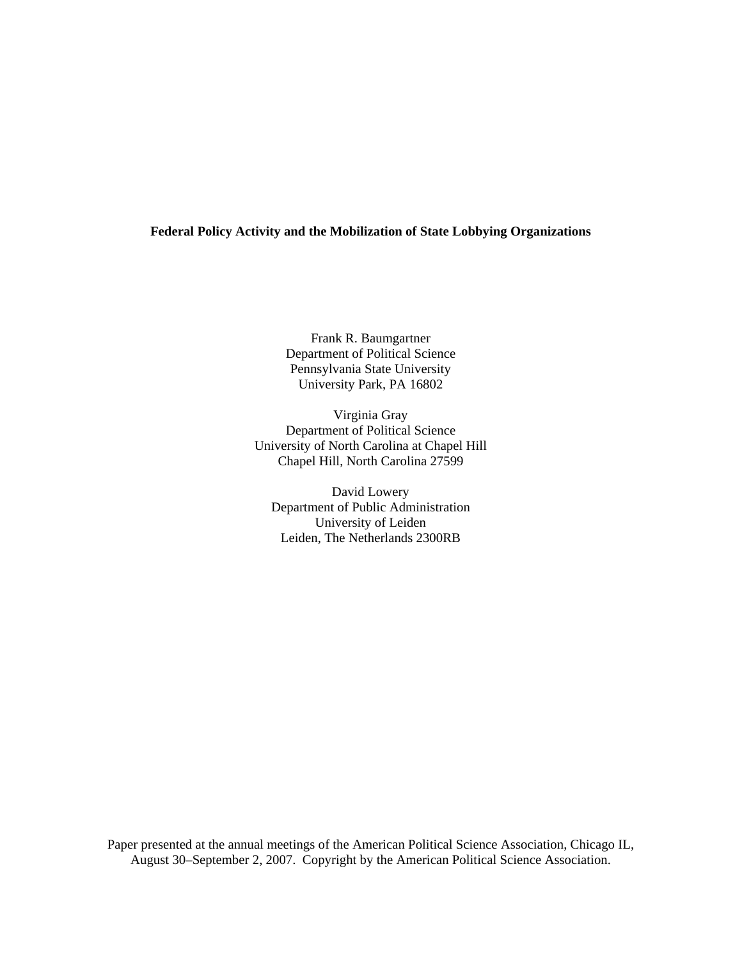# **Federal Policy Activity and the Mobilization of State Lobbying Organizations**

Frank R. Baumgartner Department of Political Science Pennsylvania State University University Park, PA 16802

Virginia Gray Department of Political Science University of North Carolina at Chapel Hill Chapel Hill, North Carolina 27599

David Lowery Department of Public Administration University of Leiden Leiden, The Netherlands 2300RB

Paper presented at the annual meetings of the American Political Science Association, Chicago IL, August 30–September 2, 2007. Copyright by the American Political Science Association.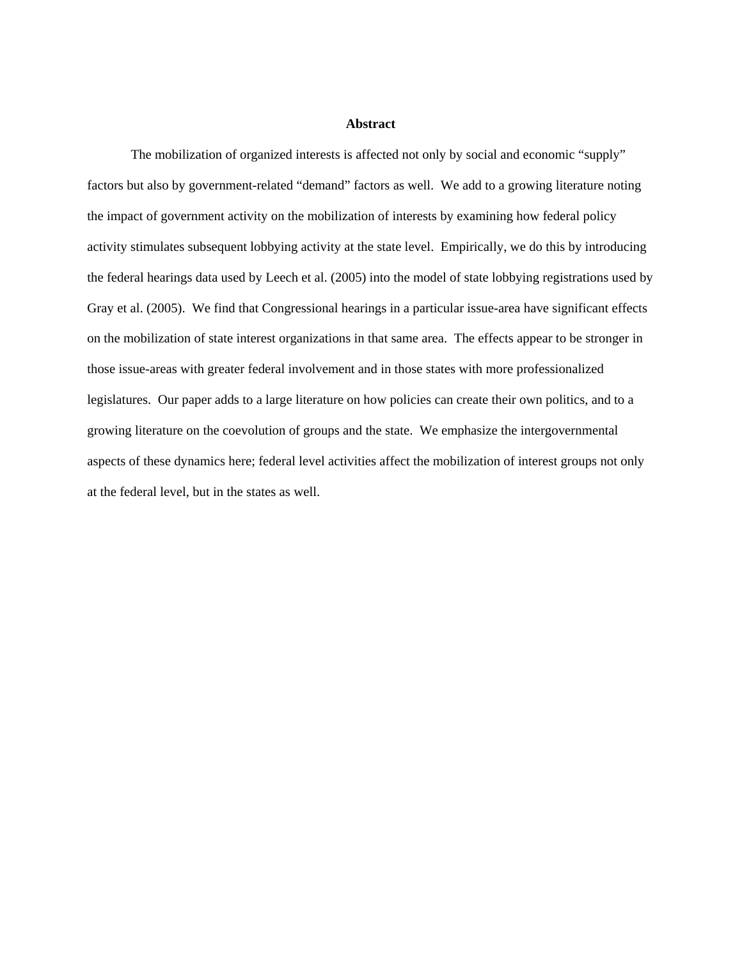## **Abstract**

 The mobilization of organized interests is affected not only by social and economic "supply" factors but also by government-related "demand" factors as well. We add to a growing literature noting the impact of government activity on the mobilization of interests by examining how federal policy activity stimulates subsequent lobbying activity at the state level. Empirically, we do this by introducing the federal hearings data used by Leech et al. (2005) into the model of state lobbying registrations used by Gray et al. (2005). We find that Congressional hearings in a particular issue-area have significant effects on the mobilization of state interest organizations in that same area. The effects appear to be stronger in those issue-areas with greater federal involvement and in those states with more professionalized legislatures. Our paper adds to a large literature on how policies can create their own politics, and to a growing literature on the coevolution of groups and the state. We emphasize the intergovernmental aspects of these dynamics here; federal level activities affect the mobilization of interest groups not only at the federal level, but in the states as well.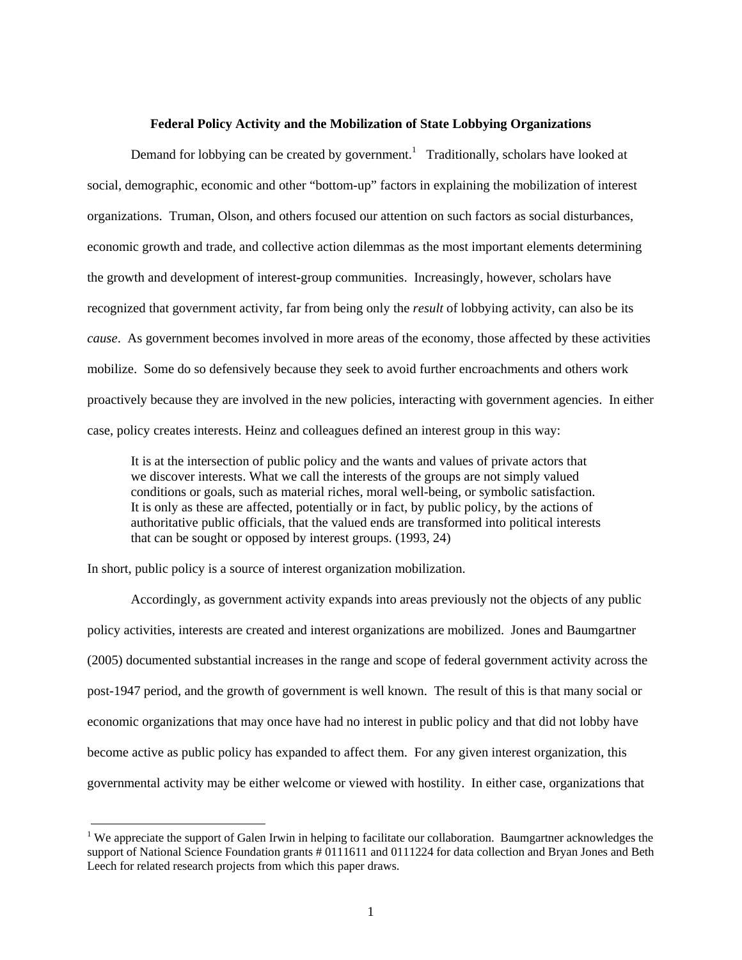#### **Federal Policy Activity and the Mobilization of State Lobbying Organizations**

Demand for lobbying can be created by government.<sup>1</sup> Traditionally, scholars have looked at social, demographic, economic and other "bottom-up" factors in explaining the mobilization of interest organizations. Truman, Olson, and others focused our attention on such factors as social disturbances, economic growth and trade, and collective action dilemmas as the most important elements determining the growth and development of interest-group communities. Increasingly, however, scholars have recognized that government activity, far from being only the *result* of lobbying activity, can also be its *cause*. As government becomes involved in more areas of the economy, those affected by these activities mobilize. Some do so defensively because they seek to avoid further encroachments and others work proactively because they are involved in the new policies, interacting with government agencies. In either case, policy creates interests. Heinz and colleagues defined an interest group in this way:

It is at the intersection of public policy and the wants and values of private actors that we discover interests. What we call the interests of the groups are not simply valued conditions or goals, such as material riches, moral well-being, or symbolic satisfaction. It is only as these are affected, potentially or in fact, by public policy, by the actions of authoritative public officials, that the valued ends are transformed into political interests that can be sought or opposed by interest groups. (1993, 24)

In short, public policy is a source of interest organization mobilization.

Accordingly, as government activity expands into areas previously not the objects of any public policy activities, interests are created and interest organizations are mobilized. Jones and Baumgartner (2005) documented substantial increases in the range and scope of federal government activity across the post-1947 period, and the growth of government is well known. The result of this is that many social or economic organizations that may once have had no interest in public policy and that did not lobby have become active as public policy has expanded to affect them. For any given interest organization, this governmental activity may be either welcome or viewed with hostility. In either case, organizations that

<sup>&</sup>lt;sup>1</sup> We appreciate the support of Galen Irwin in helping to facilitate our collaboration. Baumgartner acknowledges the support of National Science Foundation grants # 0111611 and 0111224 for data collection and Bryan Jones and Beth Leech for related research projects from which this paper draws.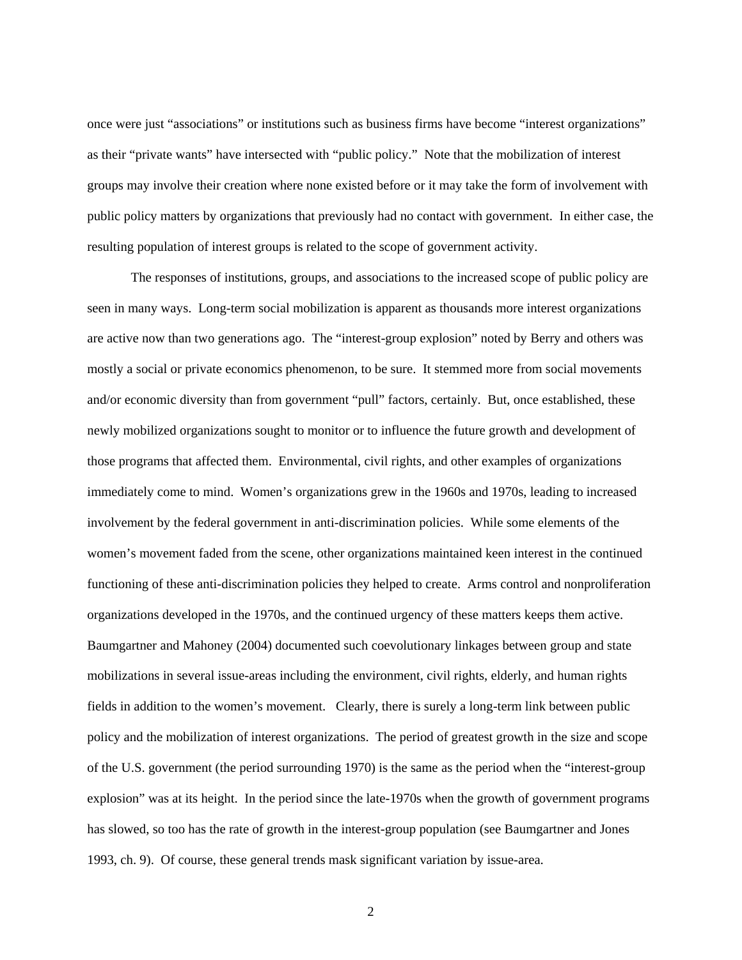once were just "associations" or institutions such as business firms have become "interest organizations" as their "private wants" have intersected with "public policy." Note that the mobilization of interest groups may involve their creation where none existed before or it may take the form of involvement with public policy matters by organizations that previously had no contact with government. In either case, the resulting population of interest groups is related to the scope of government activity.

The responses of institutions, groups, and associations to the increased scope of public policy are seen in many ways. Long-term social mobilization is apparent as thousands more interest organizations are active now than two generations ago. The "interest-group explosion" noted by Berry and others was mostly a social or private economics phenomenon, to be sure. It stemmed more from social movements and/or economic diversity than from government "pull" factors, certainly. But, once established, these newly mobilized organizations sought to monitor or to influence the future growth and development of those programs that affected them. Environmental, civil rights, and other examples of organizations immediately come to mind. Women's organizations grew in the 1960s and 1970s, leading to increased involvement by the federal government in anti-discrimination policies. While some elements of the women's movement faded from the scene, other organizations maintained keen interest in the continued functioning of these anti-discrimination policies they helped to create. Arms control and nonproliferation organizations developed in the 1970s, and the continued urgency of these matters keeps them active. Baumgartner and Mahoney (2004) documented such coevolutionary linkages between group and state mobilizations in several issue-areas including the environment, civil rights, elderly, and human rights fields in addition to the women's movement. Clearly, there is surely a long-term link between public policy and the mobilization of interest organizations. The period of greatest growth in the size and scope of the U.S. government (the period surrounding 1970) is the same as the period when the "interest-group explosion" was at its height. In the period since the late-1970s when the growth of government programs has slowed, so too has the rate of growth in the interest-group population (see Baumgartner and Jones 1993, ch. 9). Of course, these general trends mask significant variation by issue-area.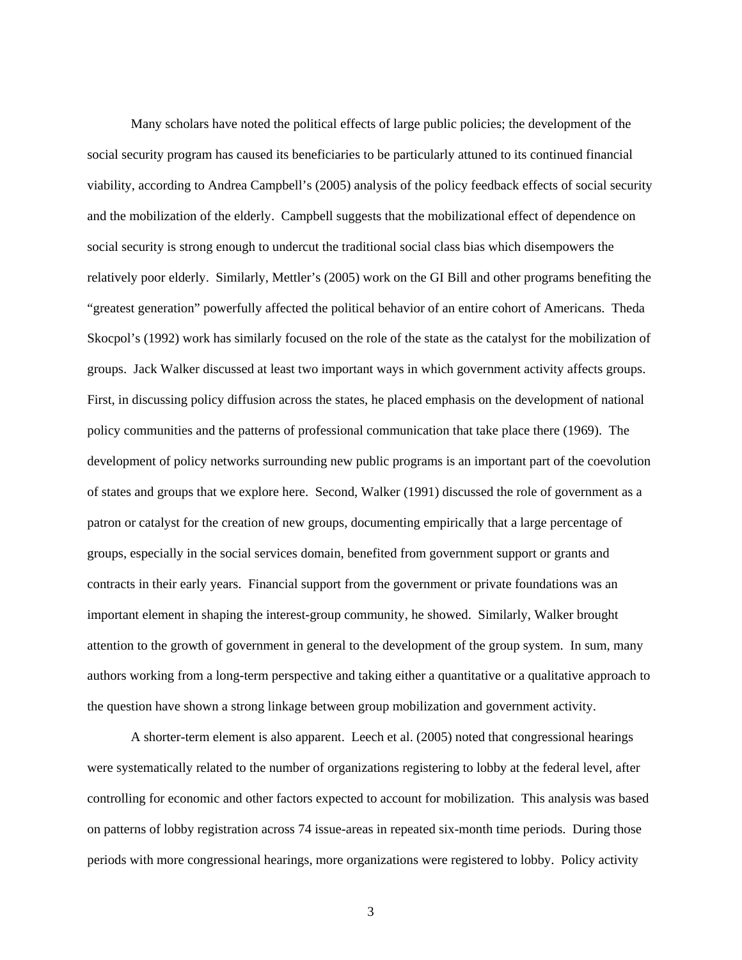Many scholars have noted the political effects of large public policies; the development of the social security program has caused its beneficiaries to be particularly attuned to its continued financial viability, according to Andrea Campbell's (2005) analysis of the policy feedback effects of social security and the mobilization of the elderly. Campbell suggests that the mobilizational effect of dependence on social security is strong enough to undercut the traditional social class bias which disempowers the relatively poor elderly. Similarly, Mettler's (2005) work on the GI Bill and other programs benefiting the "greatest generation" powerfully affected the political behavior of an entire cohort of Americans. Theda Skocpol's (1992) work has similarly focused on the role of the state as the catalyst for the mobilization of groups. Jack Walker discussed at least two important ways in which government activity affects groups. First, in discussing policy diffusion across the states, he placed emphasis on the development of national policy communities and the patterns of professional communication that take place there (1969). The development of policy networks surrounding new public programs is an important part of the coevolution of states and groups that we explore here. Second, Walker (1991) discussed the role of government as a patron or catalyst for the creation of new groups, documenting empirically that a large percentage of groups, especially in the social services domain, benefited from government support or grants and contracts in their early years. Financial support from the government or private foundations was an important element in shaping the interest-group community, he showed. Similarly, Walker brought attention to the growth of government in general to the development of the group system. In sum, many authors working from a long-term perspective and taking either a quantitative or a qualitative approach to the question have shown a strong linkage between group mobilization and government activity.

A shorter-term element is also apparent. Leech et al. (2005) noted that congressional hearings were systematically related to the number of organizations registering to lobby at the federal level, after controlling for economic and other factors expected to account for mobilization. This analysis was based on patterns of lobby registration across 74 issue-areas in repeated six-month time periods. During those periods with more congressional hearings, more organizations were registered to lobby. Policy activity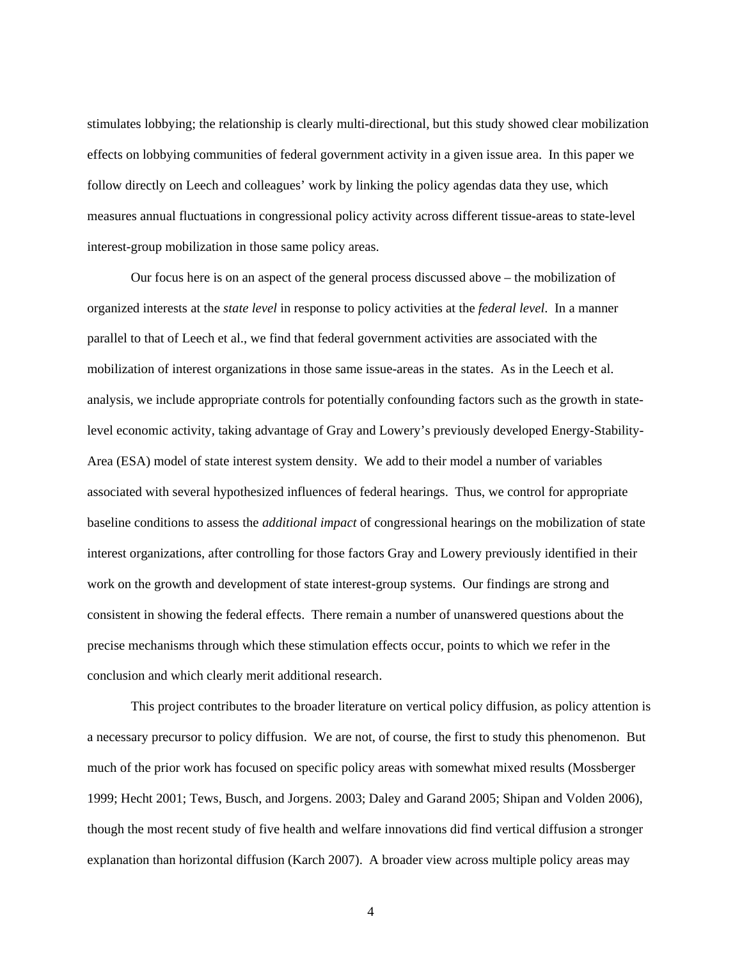stimulates lobbying; the relationship is clearly multi-directional, but this study showed clear mobilization effects on lobbying communities of federal government activity in a given issue area. In this paper we follow directly on Leech and colleagues' work by linking the policy agendas data they use, which measures annual fluctuations in congressional policy activity across different tissue-areas to state-level interest-group mobilization in those same policy areas.

Our focus here is on an aspect of the general process discussed above – the mobilization of organized interests at the *state level* in response to policy activities at the *federal level*. In a manner parallel to that of Leech et al., we find that federal government activities are associated with the mobilization of interest organizations in those same issue-areas in the states. As in the Leech et al. analysis, we include appropriate controls for potentially confounding factors such as the growth in statelevel economic activity, taking advantage of Gray and Lowery's previously developed Energy-Stability-Area (ESA) model of state interest system density. We add to their model a number of variables associated with several hypothesized influences of federal hearings. Thus, we control for appropriate baseline conditions to assess the *additional impact* of congressional hearings on the mobilization of state interest organizations, after controlling for those factors Gray and Lowery previously identified in their work on the growth and development of state interest-group systems. Our findings are strong and consistent in showing the federal effects. There remain a number of unanswered questions about the precise mechanisms through which these stimulation effects occur, points to which we refer in the conclusion and which clearly merit additional research.

This project contributes to the broader literature on vertical policy diffusion, as policy attention is a necessary precursor to policy diffusion. We are not, of course, the first to study this phenomenon. But much of the prior work has focused on specific policy areas with somewhat mixed results (Mossberger 1999; Hecht 2001; Tews, Busch, and Jorgens. 2003; Daley and Garand 2005; Shipan and Volden 2006), though the most recent study of five health and welfare innovations did find vertical diffusion a stronger explanation than horizontal diffusion (Karch 2007). A broader view across multiple policy areas may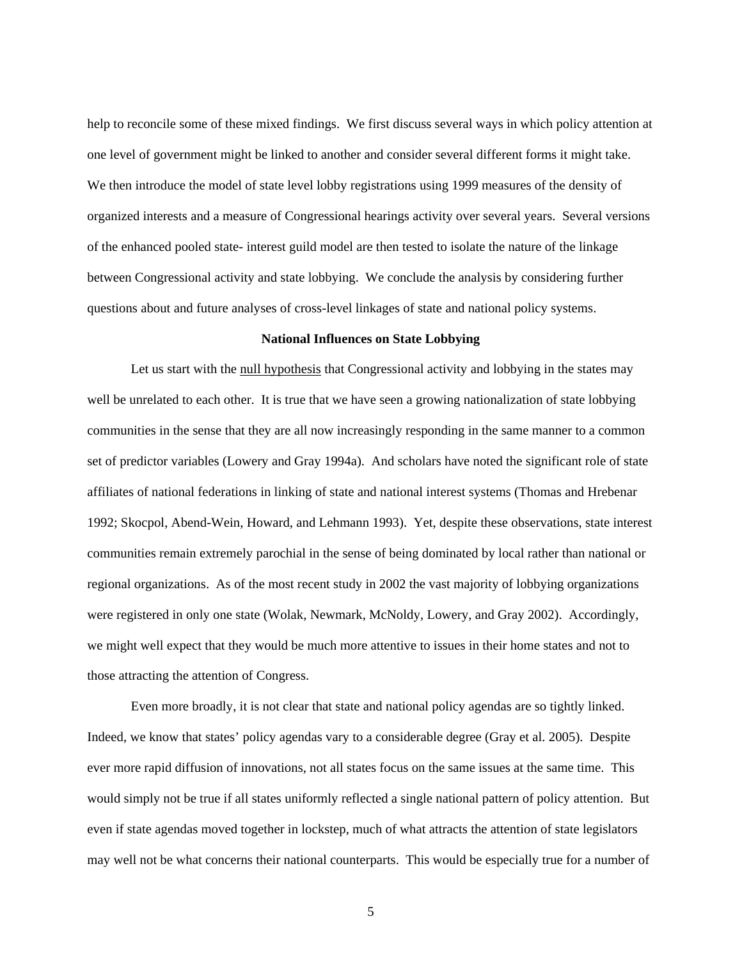help to reconcile some of these mixed findings. We first discuss several ways in which policy attention at one level of government might be linked to another and consider several different forms it might take. We then introduce the model of state level lobby registrations using 1999 measures of the density of organized interests and a measure of Congressional hearings activity over several years. Several versions of the enhanced pooled state- interest guild model are then tested to isolate the nature of the linkage between Congressional activity and state lobbying. We conclude the analysis by considering further questions about and future analyses of cross-level linkages of state and national policy systems.

### **National Influences on State Lobbying**

 Let us start with the null hypothesis that Congressional activity and lobbying in the states may well be unrelated to each other. It is true that we have seen a growing nationalization of state lobbying communities in the sense that they are all now increasingly responding in the same manner to a common set of predictor variables (Lowery and Gray 1994a). And scholars have noted the significant role of state affiliates of national federations in linking of state and national interest systems (Thomas and Hrebenar 1992; Skocpol, Abend-Wein, Howard, and Lehmann 1993). Yet, despite these observations, state interest communities remain extremely parochial in the sense of being dominated by local rather than national or regional organizations. As of the most recent study in 2002 the vast majority of lobbying organizations were registered in only one state (Wolak, Newmark, McNoldy, Lowery, and Gray 2002). Accordingly, we might well expect that they would be much more attentive to issues in their home states and not to those attracting the attention of Congress.

Even more broadly, it is not clear that state and national policy agendas are so tightly linked. Indeed, we know that states' policy agendas vary to a considerable degree (Gray et al. 2005). Despite ever more rapid diffusion of innovations, not all states focus on the same issues at the same time. This would simply not be true if all states uniformly reflected a single national pattern of policy attention. But even if state agendas moved together in lockstep, much of what attracts the attention of state legislators may well not be what concerns their national counterparts. This would be especially true for a number of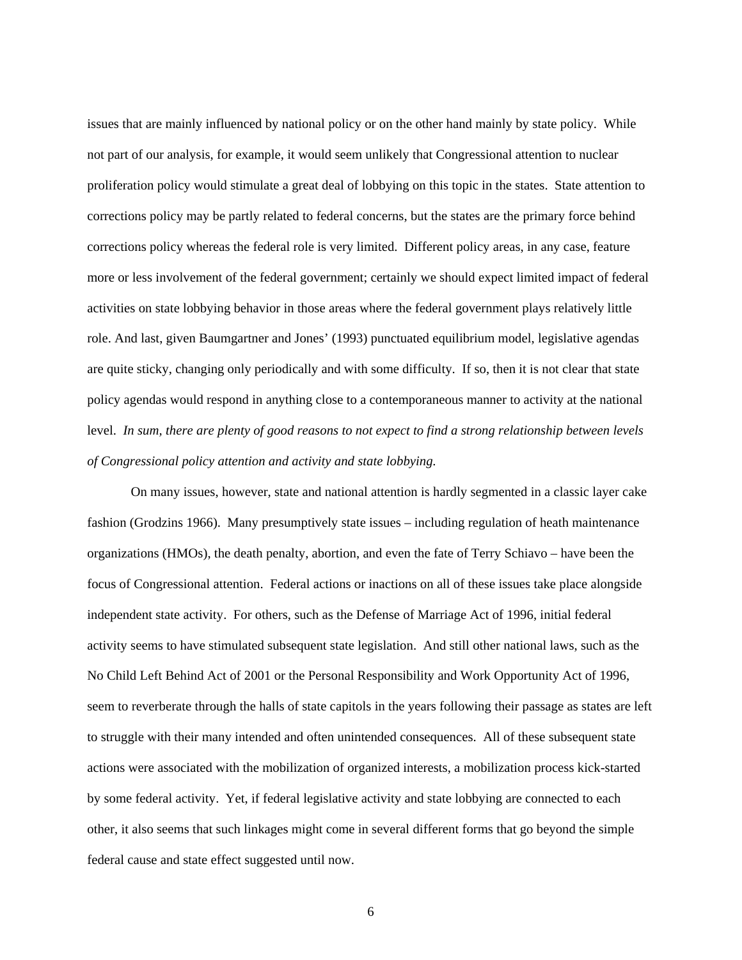issues that are mainly influenced by national policy or on the other hand mainly by state policy. While not part of our analysis, for example, it would seem unlikely that Congressional attention to nuclear proliferation policy would stimulate a great deal of lobbying on this topic in the states. State attention to corrections policy may be partly related to federal concerns, but the states are the primary force behind corrections policy whereas the federal role is very limited. Different policy areas, in any case, feature more or less involvement of the federal government; certainly we should expect limited impact of federal activities on state lobbying behavior in those areas where the federal government plays relatively little role. And last, given Baumgartner and Jones' (1993) punctuated equilibrium model, legislative agendas are quite sticky, changing only periodically and with some difficulty. If so, then it is not clear that state policy agendas would respond in anything close to a contemporaneous manner to activity at the national level. *In sum, there are plenty of good reasons to not expect to find a strong relationship between levels of Congressional policy attention and activity and state lobbying.* 

On many issues, however, state and national attention is hardly segmented in a classic layer cake fashion (Grodzins 1966). Many presumptively state issues – including regulation of heath maintenance organizations (HMOs), the death penalty, abortion, and even the fate of Terry Schiavo – have been the focus of Congressional attention. Federal actions or inactions on all of these issues take place alongside independent state activity. For others, such as the Defense of Marriage Act of 1996, initial federal activity seems to have stimulated subsequent state legislation. And still other national laws, such as the No Child Left Behind Act of 2001 or the Personal Responsibility and Work Opportunity Act of 1996, seem to reverberate through the halls of state capitols in the years following their passage as states are left to struggle with their many intended and often unintended consequences. All of these subsequent state actions were associated with the mobilization of organized interests, a mobilization process kick-started by some federal activity. Yet, if federal legislative activity and state lobbying are connected to each other, it also seems that such linkages might come in several different forms that go beyond the simple federal cause and state effect suggested until now.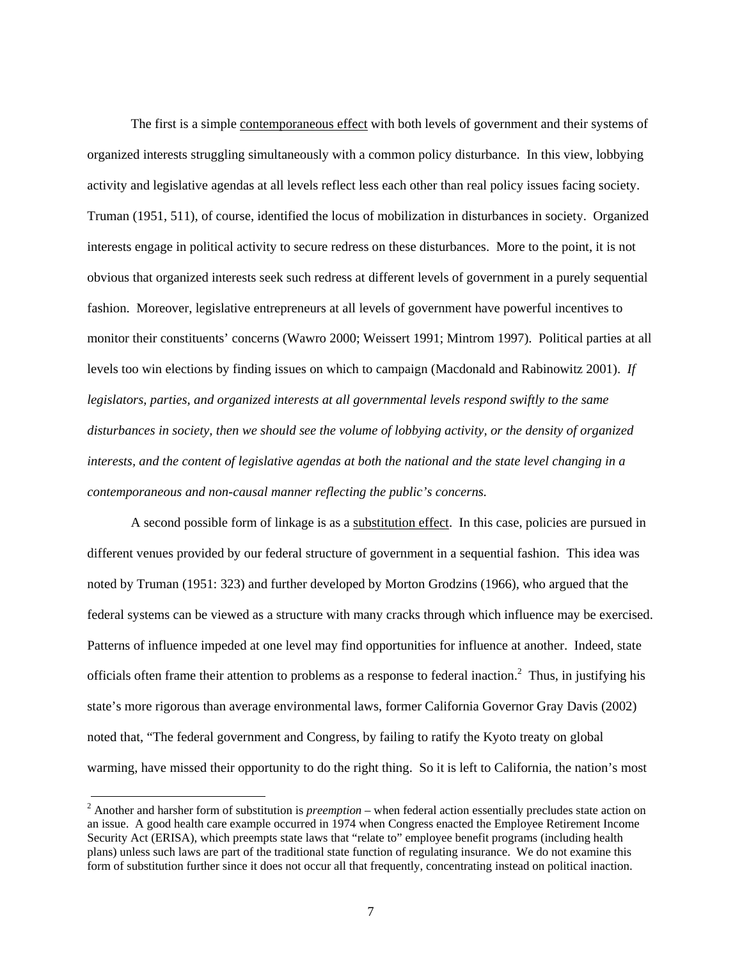The first is a simple contemporaneous effect with both levels of government and their systems of organized interests struggling simultaneously with a common policy disturbance. In this view, lobbying activity and legislative agendas at all levels reflect less each other than real policy issues facing society. Truman (1951, 511), of course, identified the locus of mobilization in disturbances in society. Organized interests engage in political activity to secure redress on these disturbances. More to the point, it is not obvious that organized interests seek such redress at different levels of government in a purely sequential fashion. Moreover, legislative entrepreneurs at all levels of government have powerful incentives to monitor their constituents' concerns (Wawro 2000; Weissert 1991; Mintrom 1997). Political parties at all levels too win elections by finding issues on which to campaign (Macdonald and Rabinowitz 2001). *If legislators, parties, and organized interests at all governmental levels respond swiftly to the same disturbances in society, then we should see the volume of lobbying activity, or the density of organized interests, and the content of legislative agendas at both the national and the state level changing in a contemporaneous and non-causal manner reflecting the public's concerns.* 

A second possible form of linkage is as a substitution effect. In this case, policies are pursued in different venues provided by our federal structure of government in a sequential fashion. This idea was noted by Truman (1951: 323) and further developed by Morton Grodzins (1966), who argued that the federal systems can be viewed as a structure with many cracks through which influence may be exercised. Patterns of influence impeded at one level may find opportunities for influence at another. Indeed, state officials often frame their attention to problems as a response to federal inaction.<sup>2</sup> Thus, in justifying his state's more rigorous than average environmental laws, former California Governor Gray Davis (2002) noted that, "The federal government and Congress, by failing to ratify the Kyoto treaty on global warming, have missed their opportunity to do the right thing. So it is left to California, the nation's most

<sup>2</sup> Another and harsher form of substitution is *preemption* – when federal action essentially precludes state action on an issue. A good health care example occurred in 1974 when Congress enacted the Employee Retirement Income Security Act (ERISA), which preempts state laws that "relate to" employee benefit programs (including health plans) unless such laws are part of the traditional state function of regulating insurance. We do not examine this form of substitution further since it does not occur all that frequently, concentrating instead on political inaction.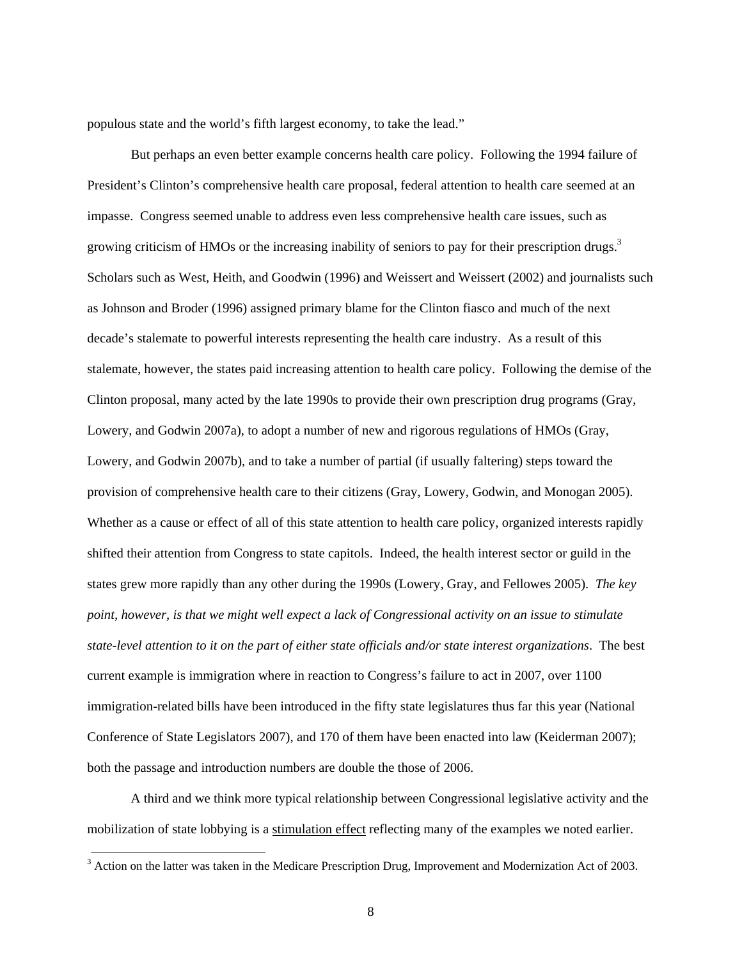populous state and the world's fifth largest economy, to take the lead."

But perhaps an even better example concerns health care policy. Following the 1994 failure of President's Clinton's comprehensive health care proposal, federal attention to health care seemed at an impasse. Congress seemed unable to address even less comprehensive health care issues, such as growing criticism of HMOs or the increasing inability of seniors to pay for their prescription drugs.<sup>3</sup> Scholars such as West, Heith, and Goodwin (1996) and Weissert and Weissert (2002) and journalists such as Johnson and Broder (1996) assigned primary blame for the Clinton fiasco and much of the next decade's stalemate to powerful interests representing the health care industry. As a result of this stalemate, however, the states paid increasing attention to health care policy. Following the demise of the Clinton proposal, many acted by the late 1990s to provide their own prescription drug programs (Gray, Lowery, and Godwin 2007a), to adopt a number of new and rigorous regulations of HMOs (Gray, Lowery, and Godwin 2007b), and to take a number of partial (if usually faltering) steps toward the provision of comprehensive health care to their citizens (Gray, Lowery, Godwin, and Monogan 2005). Whether as a cause or effect of all of this state attention to health care policy, organized interests rapidly shifted their attention from Congress to state capitols. Indeed, the health interest sector or guild in the states grew more rapidly than any other during the 1990s (Lowery, Gray, and Fellowes 2005). *The key point, however, is that we might well expect a lack of Congressional activity on an issue to stimulate state-level attention to it on the part of either state officials and/or state interest organizations*. The best current example is immigration where in reaction to Congress's failure to act in 2007, over 1100 immigration-related bills have been introduced in the fifty state legislatures thus far this year (National Conference of State Legislators 2007), and 170 of them have been enacted into law (Keiderman 2007); both the passage and introduction numbers are double the those of 2006.

 A third and we think more typical relationship between Congressional legislative activity and the mobilization of state lobbying is a stimulation effect reflecting many of the examples we noted earlier.

 $3$  Action on the latter was taken in the Medicare Prescription Drug, Improvement and Modernization Act of 2003.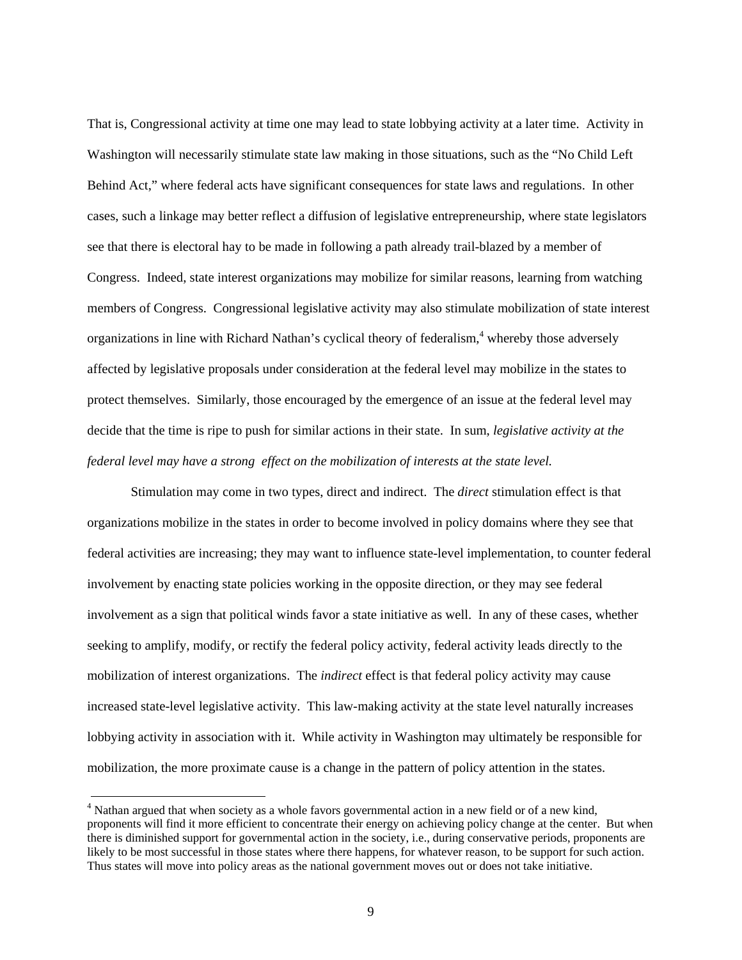That is, Congressional activity at time one may lead to state lobbying activity at a later time. Activity in Washington will necessarily stimulate state law making in those situations, such as the "No Child Left Behind Act," where federal acts have significant consequences for state laws and regulations. In other cases, such a linkage may better reflect a diffusion of legislative entrepreneurship, where state legislators see that there is electoral hay to be made in following a path already trail-blazed by a member of Congress. Indeed, state interest organizations may mobilize for similar reasons, learning from watching members of Congress. Congressional legislative activity may also stimulate mobilization of state interest organizations in line with Richard Nathan's cyclical theory of federalism,<sup>4</sup> whereby those adversely affected by legislative proposals under consideration at the federal level may mobilize in the states to protect themselves. Similarly, those encouraged by the emergence of an issue at the federal level may decide that the time is ripe to push for similar actions in their state. In sum, *legislative activity at the federal level may have a strong effect on the mobilization of interests at the state level.* 

Stimulation may come in two types, direct and indirect. The *direct* stimulation effect is that organizations mobilize in the states in order to become involved in policy domains where they see that federal activities are increasing; they may want to influence state-level implementation, to counter federal involvement by enacting state policies working in the opposite direction, or they may see federal involvement as a sign that political winds favor a state initiative as well. In any of these cases, whether seeking to amplify, modify, or rectify the federal policy activity, federal activity leads directly to the mobilization of interest organizations. The *indirect* effect is that federal policy activity may cause increased state-level legislative activity. This law-making activity at the state level naturally increases lobbying activity in association with it. While activity in Washington may ultimately be responsible for mobilization, the more proximate cause is a change in the pattern of policy attention in the states.

<sup>&</sup>lt;sup>4</sup> Nathan argued that when society as a whole favors governmental action in a new field or of a new kind, proponents will find it more efficient to concentrate their energy on achieving policy change at the center. But when there is diminished support for governmental action in the society, i.e., during conservative periods, proponents are likely to be most successful in those states where there happens, for whatever reason, to be support for such action. Thus states will move into policy areas as the national government moves out or does not take initiative.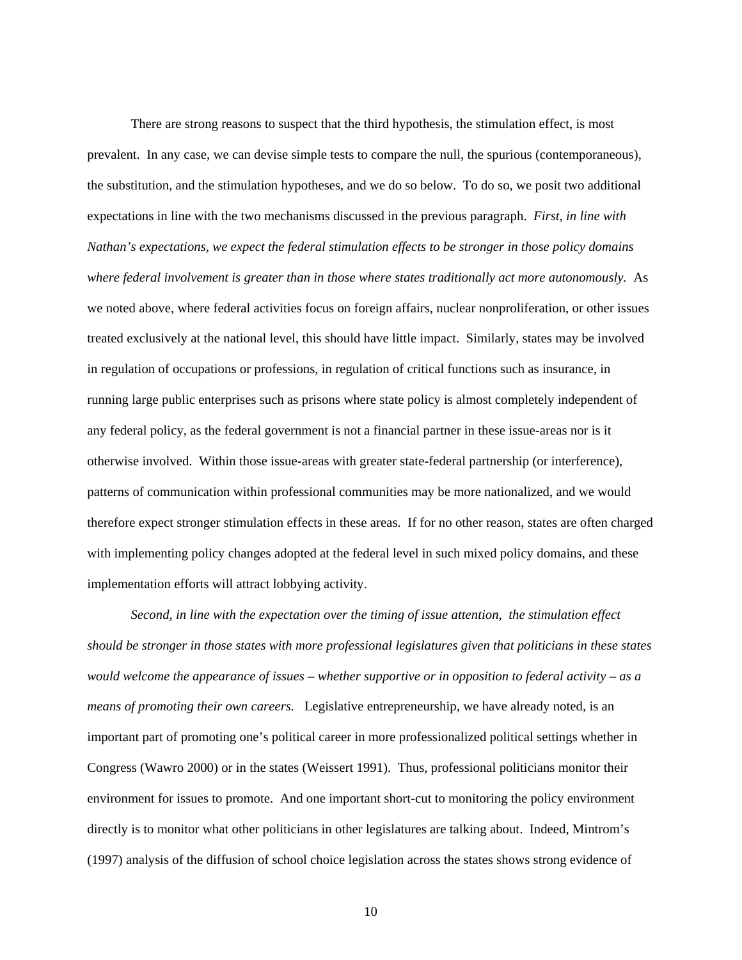There are strong reasons to suspect that the third hypothesis, the stimulation effect, is most prevalent. In any case, we can devise simple tests to compare the null, the spurious (contemporaneous), the substitution, and the stimulation hypotheses, and we do so below. To do so, we posit two additional expectations in line with the two mechanisms discussed in the previous paragraph. *First, in line with Nathan's expectations, we expect the federal stimulation effects to be stronger in those policy domains where federal involvement is greater than in those where states traditionally act more autonomously.* As we noted above, where federal activities focus on foreign affairs, nuclear nonproliferation, or other issues treated exclusively at the national level, this should have little impact. Similarly, states may be involved in regulation of occupations or professions, in regulation of critical functions such as insurance, in running large public enterprises such as prisons where state policy is almost completely independent of any federal policy, as the federal government is not a financial partner in these issue-areas nor is it otherwise involved. Within those issue-areas with greater state-federal partnership (or interference), patterns of communication within professional communities may be more nationalized, and we would therefore expect stronger stimulation effects in these areas. If for no other reason, states are often charged with implementing policy changes adopted at the federal level in such mixed policy domains, and these implementation efforts will attract lobbying activity.

*Second, in line with the expectation over the timing of issue attention, the stimulation effect should be stronger in those states with more professional legislatures given that politicians in these states would welcome the appearance of issues – whether supportive or in opposition to federal activity – as a means of promoting their own careers.* Legislative entrepreneurship, we have already noted, is an important part of promoting one's political career in more professionalized political settings whether in Congress (Wawro 2000) or in the states (Weissert 1991). Thus, professional politicians monitor their environment for issues to promote. And one important short-cut to monitoring the policy environment directly is to monitor what other politicians in other legislatures are talking about. Indeed, Mintrom's (1997) analysis of the diffusion of school choice legislation across the states shows strong evidence of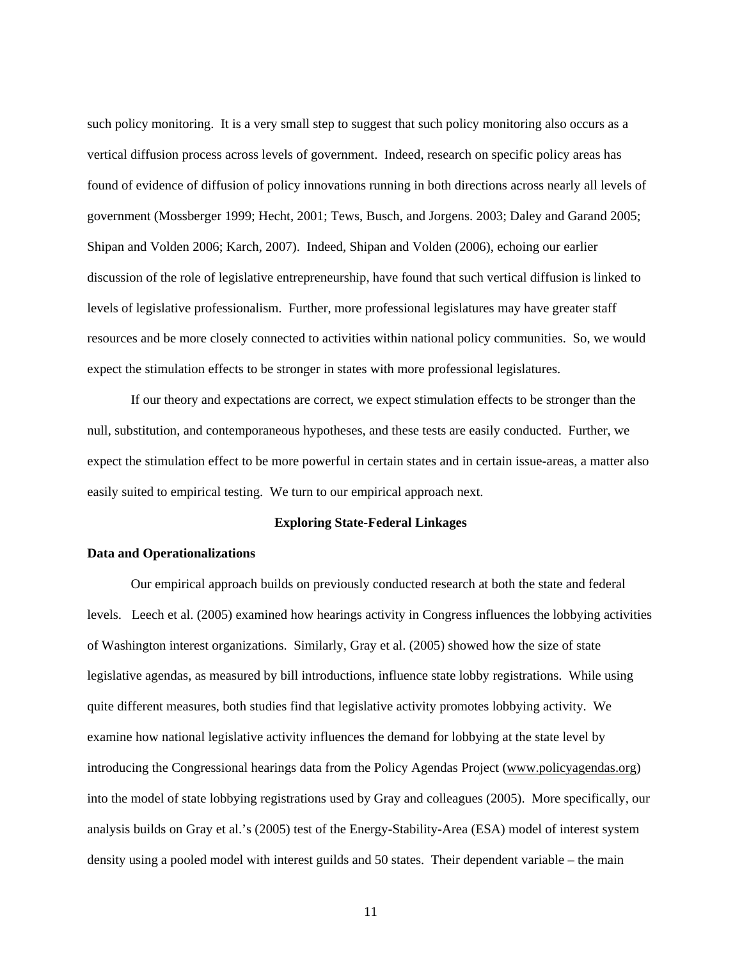such policy monitoring. It is a very small step to suggest that such policy monitoring also occurs as a vertical diffusion process across levels of government. Indeed, research on specific policy areas has found of evidence of diffusion of policy innovations running in both directions across nearly all levels of government (Mossberger 1999; Hecht, 2001; Tews, Busch, and Jorgens. 2003; Daley and Garand 2005; Shipan and Volden 2006; Karch, 2007). Indeed, Shipan and Volden (2006), echoing our earlier discussion of the role of legislative entrepreneurship, have found that such vertical diffusion is linked to levels of legislative professionalism. Further, more professional legislatures may have greater staff resources and be more closely connected to activities within national policy communities. So, we would expect the stimulation effects to be stronger in states with more professional legislatures.

If our theory and expectations are correct, we expect stimulation effects to be stronger than the null, substitution, and contemporaneous hypotheses, and these tests are easily conducted. Further, we expect the stimulation effect to be more powerful in certain states and in certain issue-areas, a matter also easily suited to empirical testing. We turn to our empirical approach next.

## **Exploring State-Federal Linkages**

## **Data and Operationalizations**

Our empirical approach builds on previously conducted research at both the state and federal levels. Leech et al. (2005) examined how hearings activity in Congress influences the lobbying activities of Washington interest organizations. Similarly, Gray et al. (2005) showed how the size of state legislative agendas, as measured by bill introductions, influence state lobby registrations. While using quite different measures, both studies find that legislative activity promotes lobbying activity. We examine how national legislative activity influences the demand for lobbying at the state level by introducing the Congressional hearings data from the Policy Agendas Project (www.policyagendas.org) into the model of state lobbying registrations used by Gray and colleagues (2005). More specifically, our analysis builds on Gray et al.'s (2005) test of the Energy-Stability-Area (ESA) model of interest system density using a pooled model with interest guilds and 50 states. Their dependent variable – the main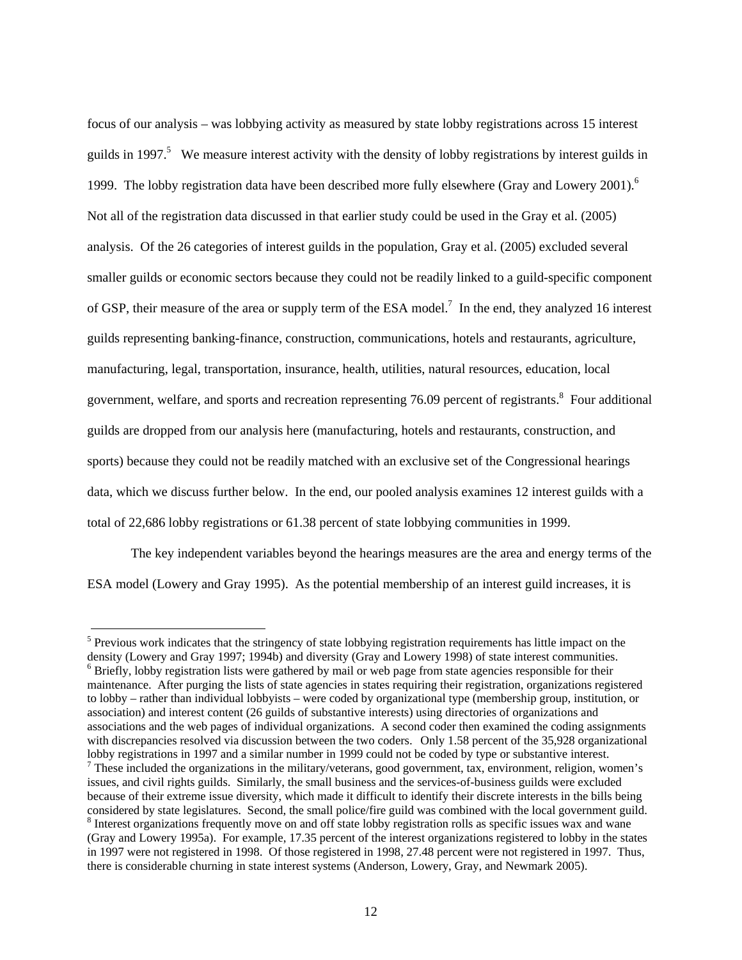focus of our analysis – was lobbying activity as measured by state lobby registrations across 15 interest guilds in 1997.<sup>5</sup> We measure interest activity with the density of lobby registrations by interest guilds in 1999. The lobby registration data have been described more fully elsewhere (Gray and Lowery 2001).<sup>6</sup> Not all of the registration data discussed in that earlier study could be used in the Gray et al. (2005) analysis. Of the 26 categories of interest guilds in the population, Gray et al. (2005) excluded several smaller guilds or economic sectors because they could not be readily linked to a guild-specific component of GSP, their measure of the area or supply term of the ESA model.<sup>7</sup> In the end, they analyzed 16 interest guilds representing banking-finance, construction, communications, hotels and restaurants, agriculture, manufacturing, legal, transportation, insurance, health, utilities, natural resources, education, local government, welfare, and sports and recreation representing 76.09 percent of registrants.<sup>8</sup> Four additional guilds are dropped from our analysis here (manufacturing, hotels and restaurants, construction, and sports) because they could not be readily matched with an exclusive set of the Congressional hearings data, which we discuss further below. In the end, our pooled analysis examines 12 interest guilds with a total of 22,686 lobby registrations or 61.38 percent of state lobbying communities in 1999.

 The key independent variables beyond the hearings measures are the area and energy terms of the ESA model (Lowery and Gray 1995). As the potential membership of an interest guild increases, it is

<sup>&</sup>lt;sup>5</sup> Previous work indicates that the stringency of state lobbying registration requirements has little impact on the density (Lowery and Gray 1997; 1994b) and diversity (Gray and Lowery 1998) of state interest communities. <sup>6</sup> Briefly, lobby registration lists were gathered by mail or web page from state agencies responsible for their maintenance. After purging the lists of state agencies in states requiring their registration, organizations registered to lobby – rather than individual lobbyists – were coded by organizational type (membership group, institution, or association) and interest content (26 guilds of substantive interests) using directories of organizations and associations and the web pages of individual organizations. A second coder then examined the coding assignments with discrepancies resolved via discussion between the two coders. Only 1.58 percent of the 35,928 organizational lobby registrations in 1997 and a similar number in 1999 could not be coded by type or substantive interest.  $^7$  These included the organizations in the military/veterans, good government, tax, environment, religion, women's issues, and civil rights guilds. Similarly, the small business and the services-of-business guilds were excluded because of their extreme issue diversity, which made it difficult to identify their discrete interests in the bills being considered by state legislatures. Second, the small police/fire guild was combined with the local government guild. 8 <sup>8</sup> Interest organizations frequently move on and off state lobby registration rolls as specific issues wax and wane (Gray and Lowery 1995a). For example, 17.35 percent of the interest organizations registered to lobby in the states in 1997 were not registered in 1998. Of those registered in 1998, 27.48 percent were not registered in 1997. Thus, there is considerable churning in state interest systems (Anderson, Lowery, Gray, and Newmark 2005).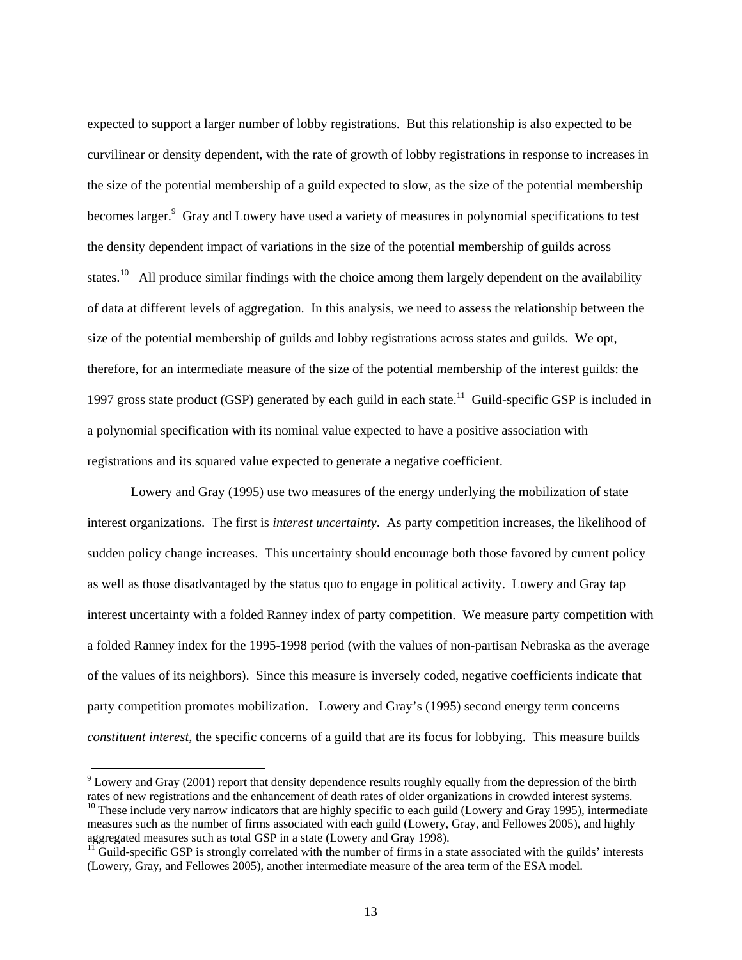expected to support a larger number of lobby registrations. But this relationship is also expected to be curvilinear or density dependent, with the rate of growth of lobby registrations in response to increases in the size of the potential membership of a guild expected to slow, as the size of the potential membership becomes larger.<sup>9</sup> Gray and Lowery have used a variety of measures in polynomial specifications to test the density dependent impact of variations in the size of the potential membership of guilds across states.<sup>10</sup> All produce similar findings with the choice among them largely dependent on the availability of data at different levels of aggregation. In this analysis, we need to assess the relationship between the size of the potential membership of guilds and lobby registrations across states and guilds. We opt, therefore, for an intermediate measure of the size of the potential membership of the interest guilds: the 1997 gross state product (GSP) generated by each guild in each state.<sup>11</sup> Guild-specific GSP is included in a polynomial specification with its nominal value expected to have a positive association with registrations and its squared value expected to generate a negative coefficient.

 Lowery and Gray (1995) use two measures of the energy underlying the mobilization of state interest organizations. The first is *interest uncertainty*. As party competition increases, the likelihood of sudden policy change increases. This uncertainty should encourage both those favored by current policy as well as those disadvantaged by the status quo to engage in political activity. Lowery and Gray tap interest uncertainty with a folded Ranney index of party competition. We measure party competition with a folded Ranney index for the 1995-1998 period (with the values of non-partisan Nebraska as the average of the values of its neighbors). Since this measure is inversely coded, negative coefficients indicate that party competition promotes mobilization. Lowery and Gray's (1995) second energy term concerns *constituent interest*, the specific concerns of a guild that are its focus for lobbying. This measure builds

 $9<sup>9</sup>$  Lowery and Gray (2001) report that density dependence results roughly equally from the depression of the birth rates of new registrations and the enhancement of death rates of older organizations in crowded interest systems.  $10$  These include very narrow indicators that are highly specific to each guild (Lowery and Gray 1995), intermediate measures such as the number of firms associated with each guild (Lowery, Gray, and Fellowes 2005), and highly aggregated measures such as total GSP in a state (Lowery and Gray 1998).

 $11$  Guild-specific GSP is strongly correlated with the number of firms in a state associated with the guilds' interests (Lowery, Gray, and Fellowes 2005), another intermediate measure of the area term of the ESA model.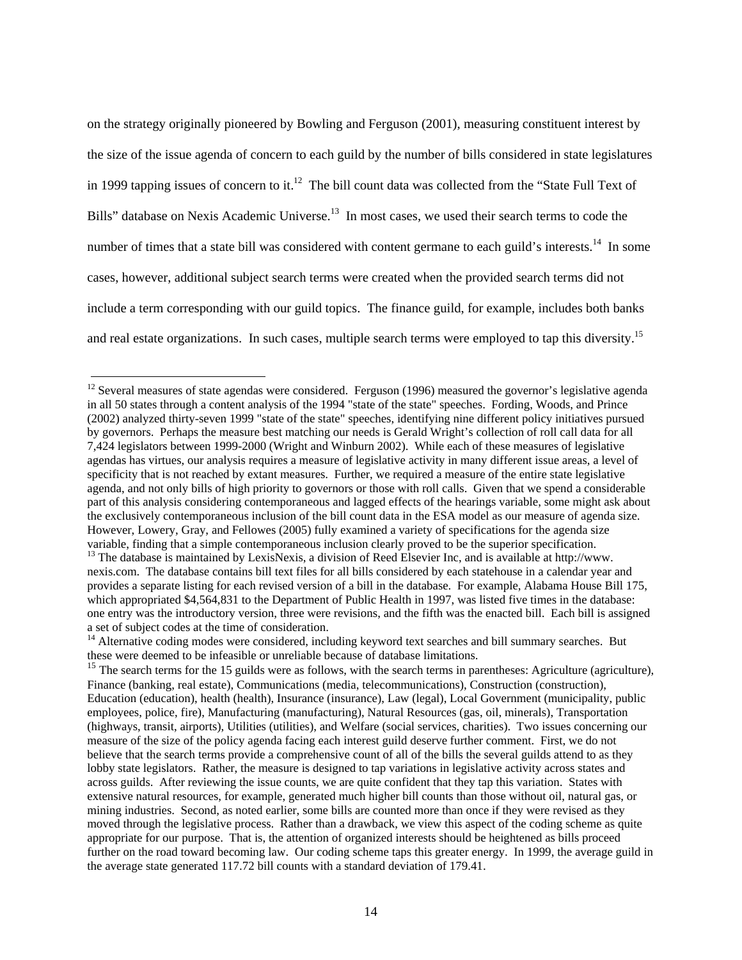on the strategy originally pioneered by Bowling and Ferguson (2001), measuring constituent interest by the size of the issue agenda of concern to each guild by the number of bills considered in state legislatures in 1999 tapping issues of concern to it.<sup>12</sup> The bill count data was collected from the "State Full Text of Bills" database on Nexis Academic Universe.<sup>13</sup> In most cases, we used their search terms to code the number of times that a state bill was considered with content germane to each guild's interests.<sup>14</sup> In some cases, however, additional subject search terms were created when the provided search terms did not include a term corresponding with our guild topics. The finance guild, for example, includes both banks and real estate organizations. In such cases, multiple search terms were employed to tap this diversity.<sup>15</sup>

 $12$  Several measures of state agendas were considered. Ferguson (1996) measured the governor's legislative agenda in all 50 states through a content analysis of the 1994 "state of the state" speeches. Fording, Woods, and Prince (2002) analyzed thirty-seven 1999 "state of the state" speeches, identifying nine different policy initiatives pursued by governors. Perhaps the measure best matching our needs is Gerald Wright's collection of roll call data for all 7,424 legislators between 1999-2000 (Wright and Winburn 2002). While each of these measures of legislative agendas has virtues, our analysis requires a measure of legislative activity in many different issue areas, a level of specificity that is not reached by extant measures. Further, we required a measure of the entire state legislative agenda, and not only bills of high priority to governors or those with roll calls. Given that we spend a considerable part of this analysis considering contemporaneous and lagged effects of the hearings variable, some might ask about the exclusively contemporaneous inclusion of the bill count data in the ESA model as our measure of agenda size. However, Lowery, Gray, and Fellowes (2005) fully examined a variety of specifications for the agenda size variable, finding that a simple contemporaneous inclusion clearly proved to be the superior specification.

<sup>&</sup>lt;sup>13</sup> The database is maintained by LexisNexis, a division of Reed Elsevier Inc, and is available at http://www. nexis.com. The database contains bill text files for all bills considered by each statehouse in a calendar year and provides a separate listing for each revised version of a bill in the database. For example, Alabama House Bill 175, which appropriated \$4,564,831 to the Department of Public Health in 1997, was listed five times in the database: one entry was the introductory version, three were revisions, and the fifth was the enacted bill. Each bill is assigned a set of subject codes at the time of consideration.

<sup>&</sup>lt;sup>14</sup> Alternative coding modes were considered, including keyword text searches and bill summary searches. But these were deemed to be infeasible or unreliable because of database limitations.

 $15$  The search terms for the 15 guilds were as follows, with the search terms in parentheses: Agriculture (agriculture), Finance (banking, real estate), Communications (media, telecommunications), Construction (construction), Education (education), health (health), Insurance (insurance), Law (legal), Local Government (municipality, public employees, police, fire), Manufacturing (manufacturing), Natural Resources (gas, oil, minerals), Transportation (highways, transit, airports), Utilities (utilities), and Welfare (social services, charities). Two issues concerning our measure of the size of the policy agenda facing each interest guild deserve further comment. First, we do not believe that the search terms provide a comprehensive count of all of the bills the several guilds attend to as they lobby state legislators. Rather, the measure is designed to tap variations in legislative activity across states and across guilds. After reviewing the issue counts, we are quite confident that they tap this variation. States with extensive natural resources, for example, generated much higher bill counts than those without oil, natural gas, or mining industries. Second, as noted earlier, some bills are counted more than once if they were revised as they moved through the legislative process. Rather than a drawback, we view this aspect of the coding scheme as quite appropriate for our purpose. That is, the attention of organized interests should be heightened as bills proceed further on the road toward becoming law. Our coding scheme taps this greater energy. In 1999, the average guild in the average state generated 117.72 bill counts with a standard deviation of 179.41.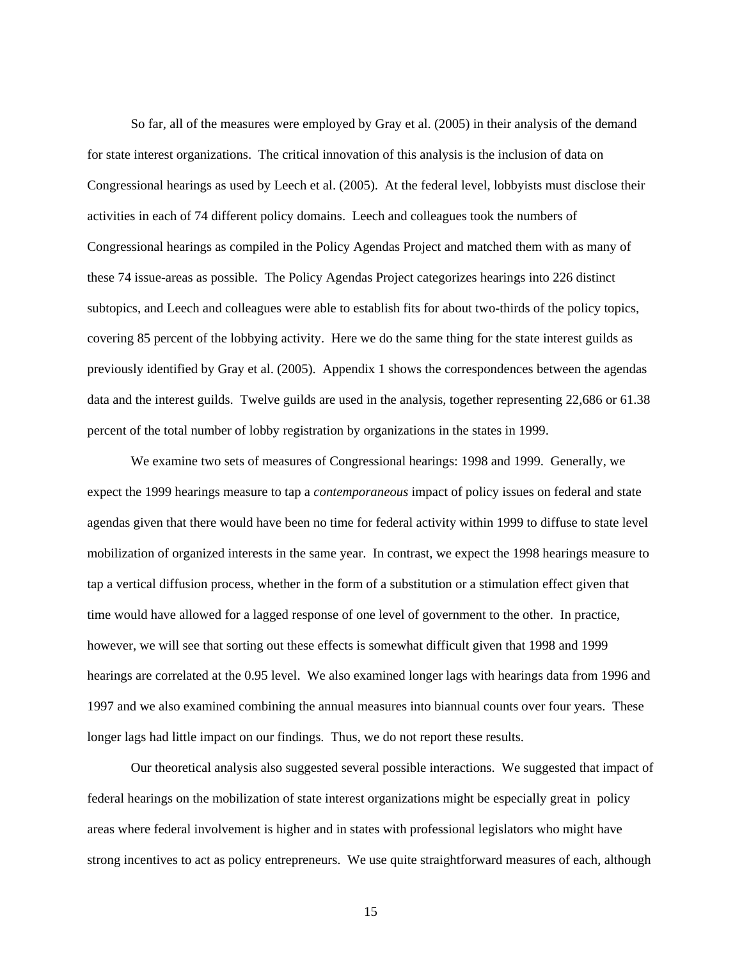So far, all of the measures were employed by Gray et al. (2005) in their analysis of the demand for state interest organizations. The critical innovation of this analysis is the inclusion of data on Congressional hearings as used by Leech et al. (2005). At the federal level, lobbyists must disclose their activities in each of 74 different policy domains. Leech and colleagues took the numbers of Congressional hearings as compiled in the Policy Agendas Project and matched them with as many of these 74 issue-areas as possible. The Policy Agendas Project categorizes hearings into 226 distinct subtopics, and Leech and colleagues were able to establish fits for about two-thirds of the policy topics, covering 85 percent of the lobbying activity. Here we do the same thing for the state interest guilds as previously identified by Gray et al. (2005). Appendix 1 shows the correspondences between the agendas data and the interest guilds. Twelve guilds are used in the analysis, together representing 22,686 or 61.38 percent of the total number of lobby registration by organizations in the states in 1999.

We examine two sets of measures of Congressional hearings: 1998 and 1999. Generally, we expect the 1999 hearings measure to tap a *contemporaneous* impact of policy issues on federal and state agendas given that there would have been no time for federal activity within 1999 to diffuse to state level mobilization of organized interests in the same year. In contrast, we expect the 1998 hearings measure to tap a vertical diffusion process, whether in the form of a substitution or a stimulation effect given that time would have allowed for a lagged response of one level of government to the other. In practice, however, we will see that sorting out these effects is somewhat difficult given that 1998 and 1999 hearings are correlated at the 0.95 level. We also examined longer lags with hearings data from 1996 and 1997 and we also examined combining the annual measures into biannual counts over four years. These longer lags had little impact on our findings. Thus, we do not report these results.

Our theoretical analysis also suggested several possible interactions. We suggested that impact of federal hearings on the mobilization of state interest organizations might be especially great in policy areas where federal involvement is higher and in states with professional legislators who might have strong incentives to act as policy entrepreneurs. We use quite straightforward measures of each, although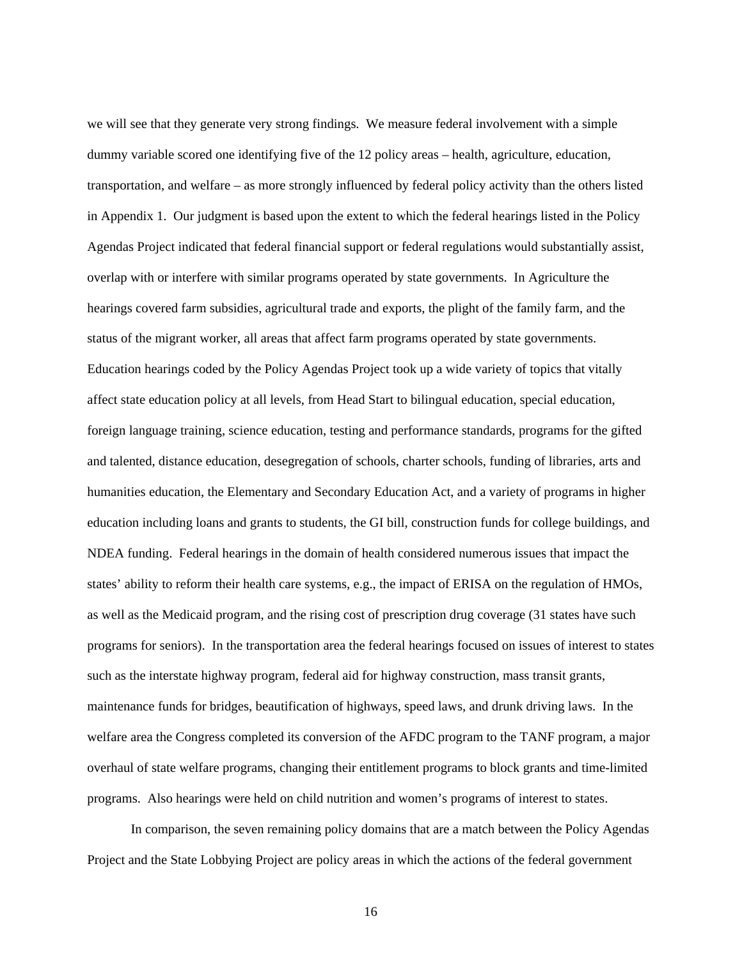we will see that they generate very strong findings. We measure federal involvement with a simple dummy variable scored one identifying five of the 12 policy areas – health, agriculture, education, transportation, and welfare – as more strongly influenced by federal policy activity than the others listed in Appendix 1. Our judgment is based upon the extent to which the federal hearings listed in the Policy Agendas Project indicated that federal financial support or federal regulations would substantially assist, overlap with or interfere with similar programs operated by state governments. In Agriculture the hearings covered farm subsidies, agricultural trade and exports, the plight of the family farm, and the status of the migrant worker, all areas that affect farm programs operated by state governments. Education hearings coded by the Policy Agendas Project took up a wide variety of topics that vitally affect state education policy at all levels, from Head Start to bilingual education, special education, foreign language training, science education, testing and performance standards, programs for the gifted and talented, distance education, desegregation of schools, charter schools, funding of libraries, arts and humanities education, the Elementary and Secondary Education Act, and a variety of programs in higher education including loans and grants to students, the GI bill, construction funds for college buildings, and NDEA funding. Federal hearings in the domain of health considered numerous issues that impact the states' ability to reform their health care systems, e.g., the impact of ERISA on the regulation of HMOs, as well as the Medicaid program, and the rising cost of prescription drug coverage (31 states have such programs for seniors). In the transportation area the federal hearings focused on issues of interest to states such as the interstate highway program, federal aid for highway construction, mass transit grants, maintenance funds for bridges, beautification of highways, speed laws, and drunk driving laws. In the welfare area the Congress completed its conversion of the AFDC program to the TANF program, a major overhaul of state welfare programs, changing their entitlement programs to block grants and time-limited programs. Also hearings were held on child nutrition and women's programs of interest to states.

In comparison, the seven remaining policy domains that are a match between the Policy Agendas Project and the State Lobbying Project are policy areas in which the actions of the federal government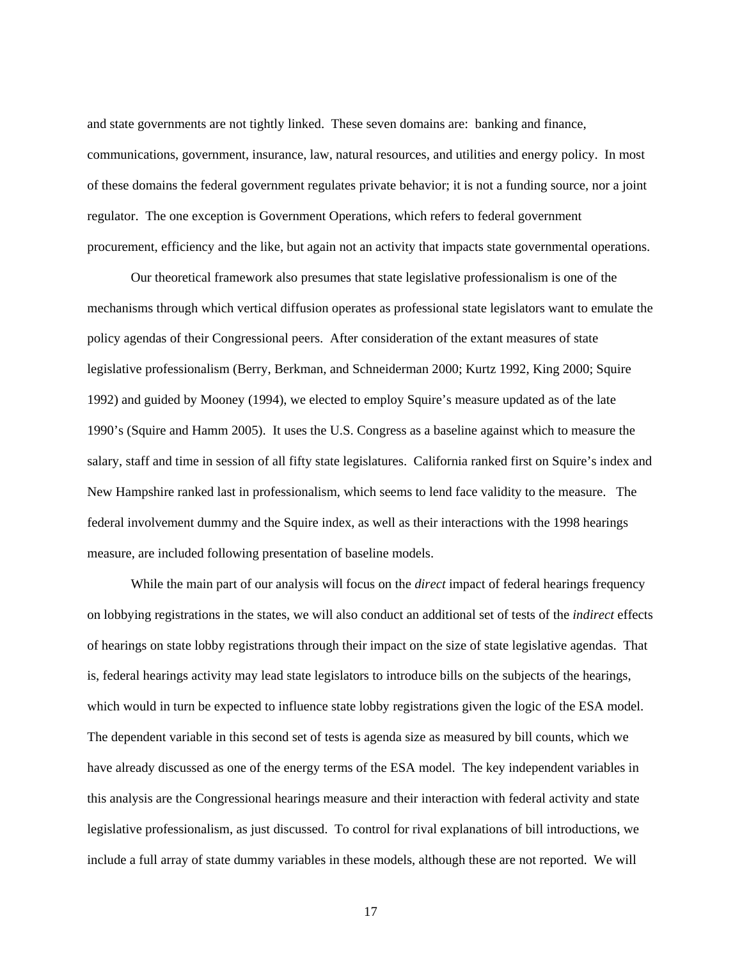and state governments are not tightly linked. These seven domains are: banking and finance, communications, government, insurance, law, natural resources, and utilities and energy policy. In most of these domains the federal government regulates private behavior; it is not a funding source, nor a joint regulator. The one exception is Government Operations, which refers to federal government procurement, efficiency and the like, but again not an activity that impacts state governmental operations.

Our theoretical framework also presumes that state legislative professionalism is one of the mechanisms through which vertical diffusion operates as professional state legislators want to emulate the policy agendas of their Congressional peers. After consideration of the extant measures of state legislative professionalism (Berry, Berkman, and Schneiderman 2000; Kurtz 1992, King 2000; Squire 1992) and guided by Mooney (1994), we elected to employ Squire's measure updated as of the late 1990's (Squire and Hamm 2005). It uses the U.S. Congress as a baseline against which to measure the salary, staff and time in session of all fifty state legislatures. California ranked first on Squire's index and New Hampshire ranked last in professionalism, which seems to lend face validity to the measure. The federal involvement dummy and the Squire index, as well as their interactions with the 1998 hearings measure, are included following presentation of baseline models.

While the main part of our analysis will focus on the *direct* impact of federal hearings frequency on lobbying registrations in the states, we will also conduct an additional set of tests of the *indirect* effects of hearings on state lobby registrations through their impact on the size of state legislative agendas. That is, federal hearings activity may lead state legislators to introduce bills on the subjects of the hearings, which would in turn be expected to influence state lobby registrations given the logic of the ESA model. The dependent variable in this second set of tests is agenda size as measured by bill counts, which we have already discussed as one of the energy terms of the ESA model. The key independent variables in this analysis are the Congressional hearings measure and their interaction with federal activity and state legislative professionalism, as just discussed. To control for rival explanations of bill introductions, we include a full array of state dummy variables in these models, although these are not reported. We will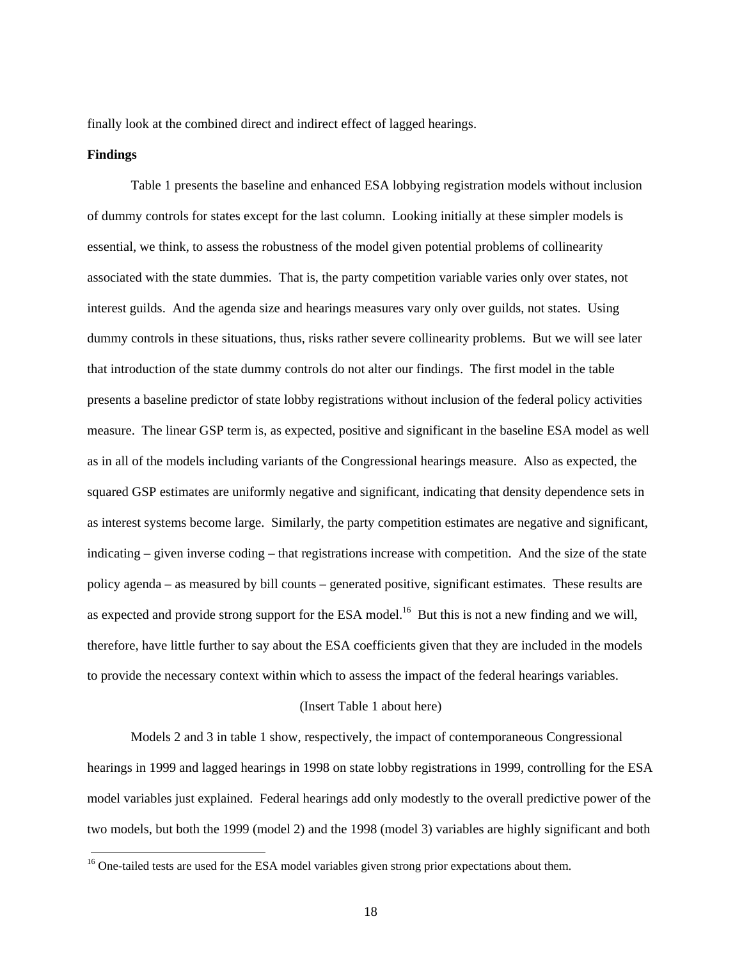finally look at the combined direct and indirect effect of lagged hearings.

# **Findings**

Table 1 presents the baseline and enhanced ESA lobbying registration models without inclusion of dummy controls for states except for the last column. Looking initially at these simpler models is essential, we think, to assess the robustness of the model given potential problems of collinearity associated with the state dummies. That is, the party competition variable varies only over states, not interest guilds. And the agenda size and hearings measures vary only over guilds, not states. Using dummy controls in these situations, thus, risks rather severe collinearity problems. But we will see later that introduction of the state dummy controls do not alter our findings. The first model in the table presents a baseline predictor of state lobby registrations without inclusion of the federal policy activities measure. The linear GSP term is, as expected, positive and significant in the baseline ESA model as well as in all of the models including variants of the Congressional hearings measure. Also as expected, the squared GSP estimates are uniformly negative and significant, indicating that density dependence sets in as interest systems become large. Similarly, the party competition estimates are negative and significant, indicating – given inverse coding – that registrations increase with competition. And the size of the state policy agenda – as measured by bill counts – generated positive, significant estimates. These results are as expected and provide strong support for the ESA model.<sup>16</sup> But this is not a new finding and we will, therefore, have little further to say about the ESA coefficients given that they are included in the models to provide the necessary context within which to assess the impact of the federal hearings variables.

## (Insert Table 1 about here)

Models 2 and 3 in table 1 show, respectively, the impact of contemporaneous Congressional hearings in 1999 and lagged hearings in 1998 on state lobby registrations in 1999, controlling for the ESA model variables just explained. Federal hearings add only modestly to the overall predictive power of the two models, but both the 1999 (model 2) and the 1998 (model 3) variables are highly significant and both

 $16$  One-tailed tests are used for the ESA model variables given strong prior expectations about them.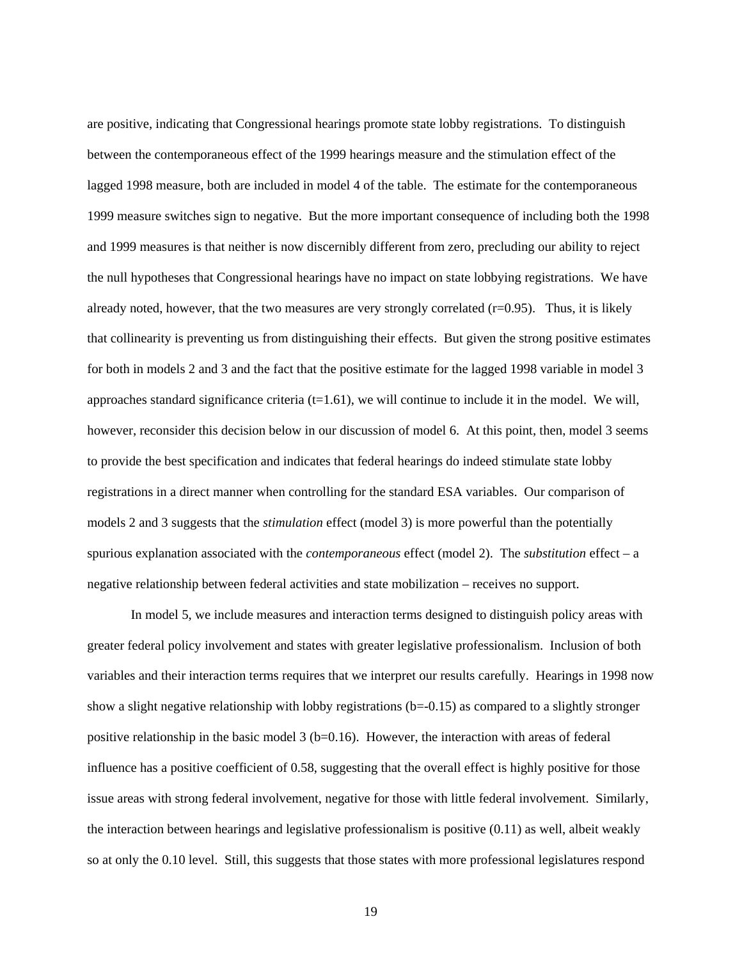are positive, indicating that Congressional hearings promote state lobby registrations. To distinguish between the contemporaneous effect of the 1999 hearings measure and the stimulation effect of the lagged 1998 measure, both are included in model 4 of the table. The estimate for the contemporaneous 1999 measure switches sign to negative. But the more important consequence of including both the 1998 and 1999 measures is that neither is now discernibly different from zero, precluding our ability to reject the null hypotheses that Congressional hearings have no impact on state lobbying registrations. We have already noted, however, that the two measures are very strongly correlated  $(r=0.95)$ . Thus, it is likely that collinearity is preventing us from distinguishing their effects. But given the strong positive estimates for both in models 2 and 3 and the fact that the positive estimate for the lagged 1998 variable in model 3 approaches standard significance criteria  $(t=1.61)$ , we will continue to include it in the model. We will, however, reconsider this decision below in our discussion of model 6. At this point, then, model 3 seems to provide the best specification and indicates that federal hearings do indeed stimulate state lobby registrations in a direct manner when controlling for the standard ESA variables. Our comparison of models 2 and 3 suggests that the *stimulation* effect (model 3) is more powerful than the potentially spurious explanation associated with the *contemporaneous* effect (model 2). The *substitution* effect – a negative relationship between federal activities and state mobilization – receives no support.

In model 5, we include measures and interaction terms designed to distinguish policy areas with greater federal policy involvement and states with greater legislative professionalism. Inclusion of both variables and their interaction terms requires that we interpret our results carefully. Hearings in 1998 now show a slight negative relationship with lobby registrations (b=-0.15) as compared to a slightly stronger positive relationship in the basic model  $3$  (b=0.16). However, the interaction with areas of federal influence has a positive coefficient of 0.58, suggesting that the overall effect is highly positive for those issue areas with strong federal involvement, negative for those with little federal involvement. Similarly, the interaction between hearings and legislative professionalism is positive (0.11) as well, albeit weakly so at only the 0.10 level. Still, this suggests that those states with more professional legislatures respond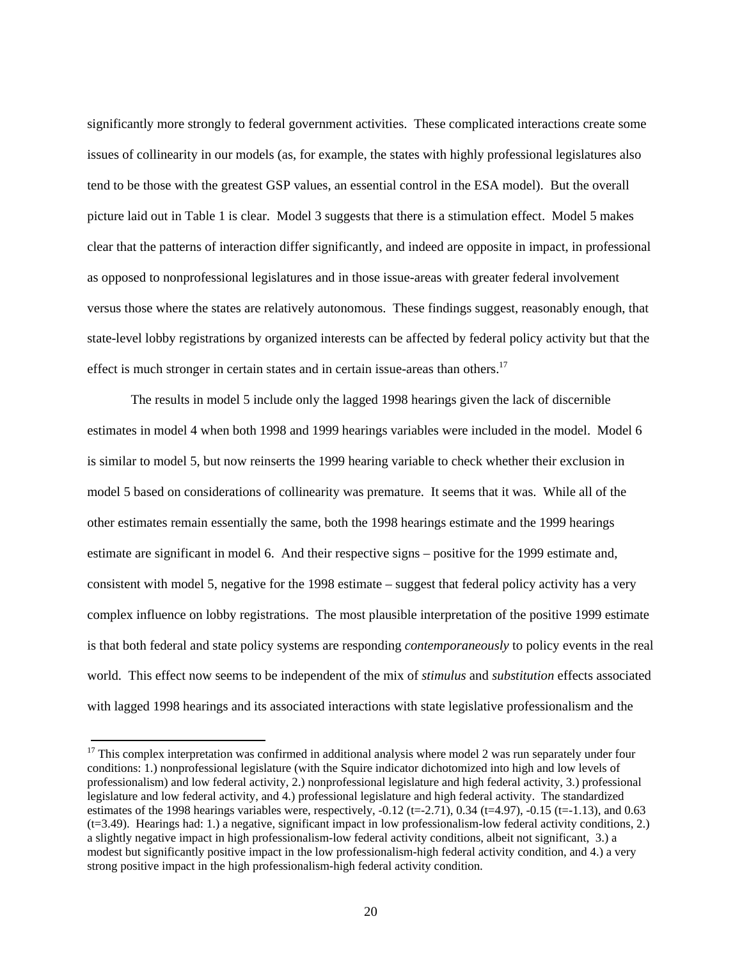significantly more strongly to federal government activities. These complicated interactions create some issues of collinearity in our models (as, for example, the states with highly professional legislatures also tend to be those with the greatest GSP values, an essential control in the ESA model). But the overall picture laid out in Table 1 is clear. Model 3 suggests that there is a stimulation effect. Model 5 makes clear that the patterns of interaction differ significantly, and indeed are opposite in impact, in professional as opposed to nonprofessional legislatures and in those issue-areas with greater federal involvement versus those where the states are relatively autonomous. These findings suggest, reasonably enough, that state-level lobby registrations by organized interests can be affected by federal policy activity but that the effect is much stronger in certain states and in certain issue-areas than others.<sup>17</sup>

The results in model 5 include only the lagged 1998 hearings given the lack of discernible estimates in model 4 when both 1998 and 1999 hearings variables were included in the model. Model 6 is similar to model 5, but now reinserts the 1999 hearing variable to check whether their exclusion in model 5 based on considerations of collinearity was premature. It seems that it was. While all of the other estimates remain essentially the same, both the 1998 hearings estimate and the 1999 hearings estimate are significant in model 6. And their respective signs – positive for the 1999 estimate and, consistent with model 5, negative for the 1998 estimate – suggest that federal policy activity has a very complex influence on lobby registrations. The most plausible interpretation of the positive 1999 estimate is that both federal and state policy systems are responding *contemporaneously* to policy events in the real world. This effect now seems to be independent of the mix of *stimulus* and *substitution* effects associated with lagged 1998 hearings and its associated interactions with state legislative professionalism and the

 $17$  This complex interpretation was confirmed in additional analysis where model 2 was run separately under four conditions: 1.) nonprofessional legislature (with the Squire indicator dichotomized into high and low levels of professionalism) and low federal activity, 2.) nonprofessional legislature and high federal activity, 3.) professional legislature and low federal activity, and 4.) professional legislature and high federal activity. The standardized estimates of the 1998 hearings variables were, respectively,  $-0.12$  (t=-2.71), 0.34 (t=4.97),  $-0.15$  (t=-1.13), and 0.63 (t=3.49). Hearings had: 1.) a negative, significant impact in low professionalism-low federal activity conditions, 2.) a slightly negative impact in high professionalism-low federal activity conditions, albeit not significant, 3.) a modest but significantly positive impact in the low professionalism-high federal activity condition, and 4.) a very strong positive impact in the high professionalism-high federal activity condition.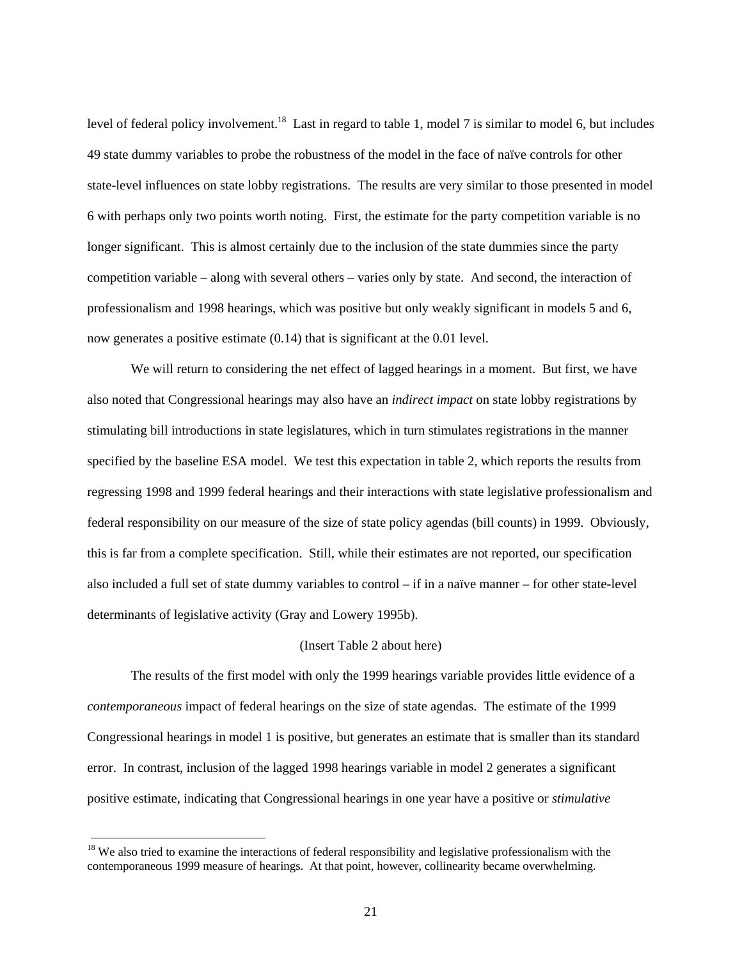level of federal policy involvement.<sup>18</sup> Last in regard to table 1, model 7 is similar to model 6, but includes 49 state dummy variables to probe the robustness of the model in the face of naïve controls for other state-level influences on state lobby registrations. The results are very similar to those presented in model 6 with perhaps only two points worth noting. First, the estimate for the party competition variable is no longer significant. This is almost certainly due to the inclusion of the state dummies since the party competition variable – along with several others – varies only by state. And second, the interaction of professionalism and 1998 hearings, which was positive but only weakly significant in models 5 and 6, now generates a positive estimate (0.14) that is significant at the 0.01 level.

We will return to considering the net effect of lagged hearings in a moment. But first, we have also noted that Congressional hearings may also have an *indirect impact* on state lobby registrations by stimulating bill introductions in state legislatures, which in turn stimulates registrations in the manner specified by the baseline ESA model. We test this expectation in table 2, which reports the results from regressing 1998 and 1999 federal hearings and their interactions with state legislative professionalism and federal responsibility on our measure of the size of state policy agendas (bill counts) in 1999. Obviously, this is far from a complete specification. Still, while their estimates are not reported, our specification also included a full set of state dummy variables to control – if in a naïve manner – for other state-level determinants of legislative activity (Gray and Lowery 1995b).

## (Insert Table 2 about here)

The results of the first model with only the 1999 hearings variable provides little evidence of a *contemporaneous* impact of federal hearings on the size of state agendas. The estimate of the 1999 Congressional hearings in model 1 is positive, but generates an estimate that is smaller than its standard error. In contrast, inclusion of the lagged 1998 hearings variable in model 2 generates a significant positive estimate, indicating that Congressional hearings in one year have a positive or *stimulative*

<sup>&</sup>lt;sup>18</sup> We also tried to examine the interactions of federal responsibility and legislative professionalism with the contemporaneous 1999 measure of hearings. At that point, however, collinearity became overwhelming.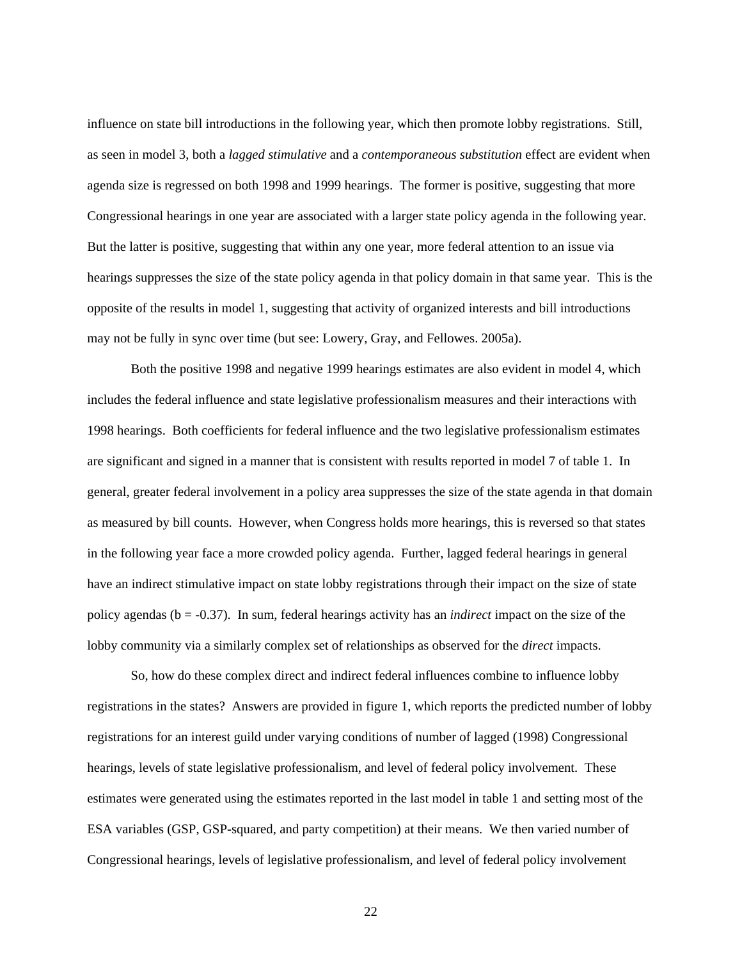influence on state bill introductions in the following year, which then promote lobby registrations. Still, as seen in model 3, both a *lagged stimulative* and a *contemporaneous substitution* effect are evident when agenda size is regressed on both 1998 and 1999 hearings. The former is positive, suggesting that more Congressional hearings in one year are associated with a larger state policy agenda in the following year. But the latter is positive, suggesting that within any one year, more federal attention to an issue via hearings suppresses the size of the state policy agenda in that policy domain in that same year. This is the opposite of the results in model 1, suggesting that activity of organized interests and bill introductions may not be fully in sync over time (but see: Lowery, Gray, and Fellowes. 2005a).

Both the positive 1998 and negative 1999 hearings estimates are also evident in model 4, which includes the federal influence and state legislative professionalism measures and their interactions with 1998 hearings. Both coefficients for federal influence and the two legislative professionalism estimates are significant and signed in a manner that is consistent with results reported in model 7 of table 1. In general, greater federal involvement in a policy area suppresses the size of the state agenda in that domain as measured by bill counts. However, when Congress holds more hearings, this is reversed so that states in the following year face a more crowded policy agenda. Further, lagged federal hearings in general have an indirect stimulative impact on state lobby registrations through their impact on the size of state policy agendas (b = -0.37). In sum, federal hearings activity has an *indirect* impact on the size of the lobby community via a similarly complex set of relationships as observed for the *direct* impacts.

So, how do these complex direct and indirect federal influences combine to influence lobby registrations in the states? Answers are provided in figure 1, which reports the predicted number of lobby registrations for an interest guild under varying conditions of number of lagged (1998) Congressional hearings, levels of state legislative professionalism, and level of federal policy involvement. These estimates were generated using the estimates reported in the last model in table 1 and setting most of the ESA variables (GSP, GSP-squared, and party competition) at their means. We then varied number of Congressional hearings, levels of legislative professionalism, and level of federal policy involvement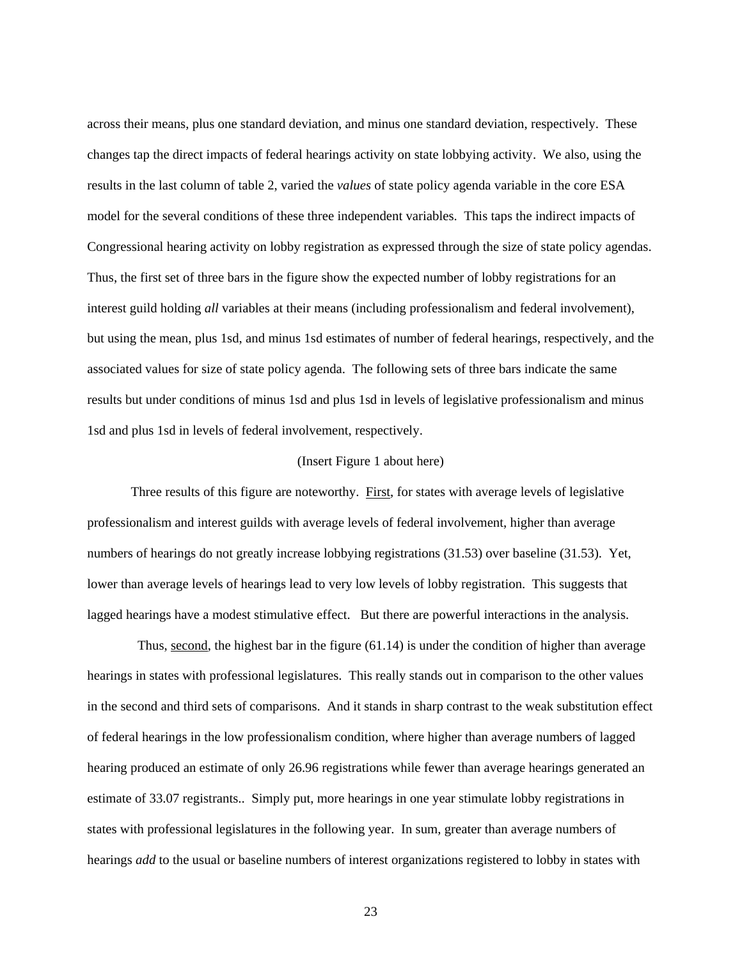across their means, plus one standard deviation, and minus one standard deviation, respectively. These changes tap the direct impacts of federal hearings activity on state lobbying activity. We also, using the results in the last column of table 2, varied the *values* of state policy agenda variable in the core ESA model for the several conditions of these three independent variables. This taps the indirect impacts of Congressional hearing activity on lobby registration as expressed through the size of state policy agendas. Thus, the first set of three bars in the figure show the expected number of lobby registrations for an interest guild holding *all* variables at their means (including professionalism and federal involvement), but using the mean, plus 1sd, and minus 1sd estimates of number of federal hearings, respectively, and the associated values for size of state policy agenda. The following sets of three bars indicate the same results but under conditions of minus 1sd and plus 1sd in levels of legislative professionalism and minus 1sd and plus 1sd in levels of federal involvement, respectively.

## (Insert Figure 1 about here)

Three results of this figure are noteworthy. First, for states with average levels of legislative professionalism and interest guilds with average levels of federal involvement, higher than average numbers of hearings do not greatly increase lobbying registrations (31.53) over baseline (31.53). Yet, lower than average levels of hearings lead to very low levels of lobby registration. This suggests that lagged hearings have a modest stimulative effect. But there are powerful interactions in the analysis.

 Thus, second, the highest bar in the figure (61.14) is under the condition of higher than average hearings in states with professional legislatures. This really stands out in comparison to the other values in the second and third sets of comparisons. And it stands in sharp contrast to the weak substitution effect of federal hearings in the low professionalism condition, where higher than average numbers of lagged hearing produced an estimate of only 26.96 registrations while fewer than average hearings generated an estimate of 33.07 registrants.. Simply put, more hearings in one year stimulate lobby registrations in states with professional legislatures in the following year. In sum, greater than average numbers of hearings *add* to the usual or baseline numbers of interest organizations registered to lobby in states with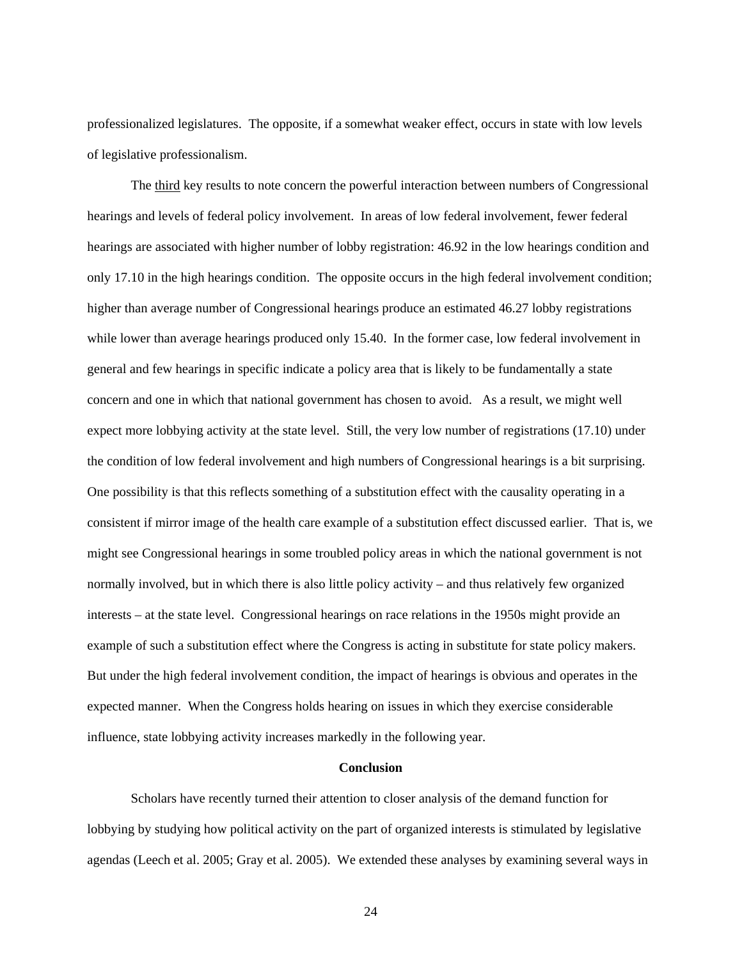professionalized legislatures. The opposite, if a somewhat weaker effect, occurs in state with low levels of legislative professionalism.

The third key results to note concern the powerful interaction between numbers of Congressional hearings and levels of federal policy involvement. In areas of low federal involvement, fewer federal hearings are associated with higher number of lobby registration: 46.92 in the low hearings condition and only 17.10 in the high hearings condition. The opposite occurs in the high federal involvement condition; higher than average number of Congressional hearings produce an estimated 46.27 lobby registrations while lower than average hearings produced only 15.40. In the former case, low federal involvement in general and few hearings in specific indicate a policy area that is likely to be fundamentally a state concern and one in which that national government has chosen to avoid. As a result, we might well expect more lobbying activity at the state level. Still, the very low number of registrations (17.10) under the condition of low federal involvement and high numbers of Congressional hearings is a bit surprising. One possibility is that this reflects something of a substitution effect with the causality operating in a consistent if mirror image of the health care example of a substitution effect discussed earlier. That is, we might see Congressional hearings in some troubled policy areas in which the national government is not normally involved, but in which there is also little policy activity – and thus relatively few organized interests – at the state level. Congressional hearings on race relations in the 1950s might provide an example of such a substitution effect where the Congress is acting in substitute for state policy makers. But under the high federal involvement condition, the impact of hearings is obvious and operates in the expected manner. When the Congress holds hearing on issues in which they exercise considerable influence, state lobbying activity increases markedly in the following year.

### **Conclusion**

Scholars have recently turned their attention to closer analysis of the demand function for lobbying by studying how political activity on the part of organized interests is stimulated by legislative agendas (Leech et al. 2005; Gray et al. 2005). We extended these analyses by examining several ways in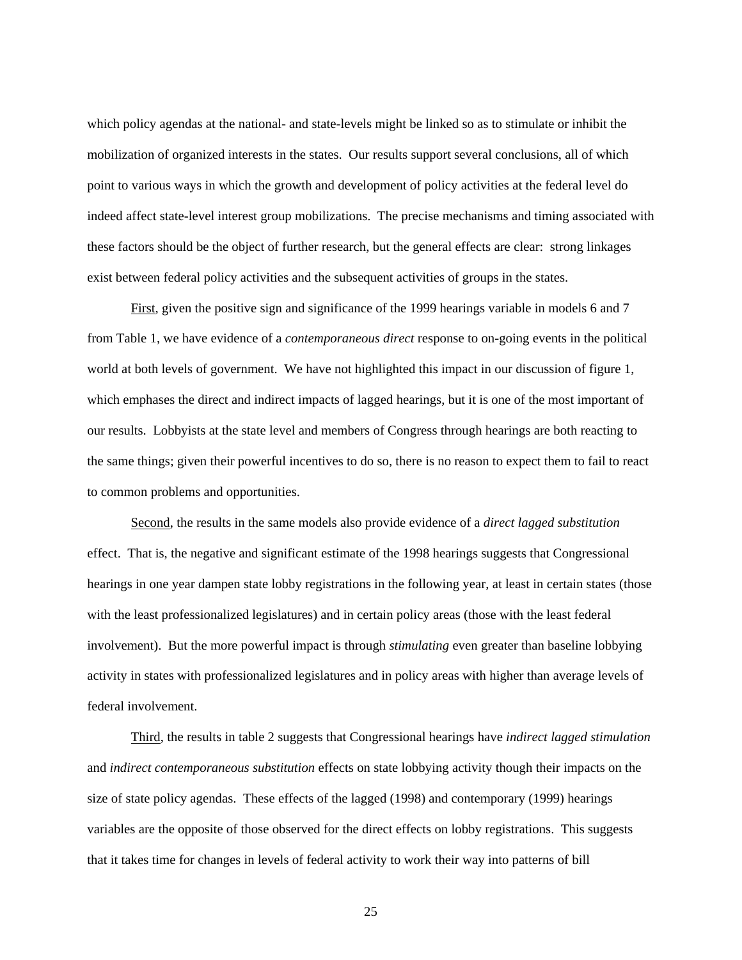which policy agendas at the national- and state-levels might be linked so as to stimulate or inhibit the mobilization of organized interests in the states. Our results support several conclusions, all of which point to various ways in which the growth and development of policy activities at the federal level do indeed affect state-level interest group mobilizations. The precise mechanisms and timing associated with these factors should be the object of further research, but the general effects are clear: strong linkages exist between federal policy activities and the subsequent activities of groups in the states.

First, given the positive sign and significance of the 1999 hearings variable in models 6 and 7 from Table 1, we have evidence of a *contemporaneous direct* response to on-going events in the political world at both levels of government. We have not highlighted this impact in our discussion of figure 1, which emphases the direct and indirect impacts of lagged hearings, but it is one of the most important of our results. Lobbyists at the state level and members of Congress through hearings are both reacting to the same things; given their powerful incentives to do so, there is no reason to expect them to fail to react to common problems and opportunities.

Second, the results in the same models also provide evidence of a *direct lagged substitution* effect. That is, the negative and significant estimate of the 1998 hearings suggests that Congressional hearings in one year dampen state lobby registrations in the following year, at least in certain states (those with the least professionalized legislatures) and in certain policy areas (those with the least federal involvement). But the more powerful impact is through *stimulating* even greater than baseline lobbying activity in states with professionalized legislatures and in policy areas with higher than average levels of federal involvement.

Third, the results in table 2 suggests that Congressional hearings have *indirect lagged stimulation* and *indirect contemporaneous substitution* effects on state lobbying activity though their impacts on the size of state policy agendas. These effects of the lagged (1998) and contemporary (1999) hearings variables are the opposite of those observed for the direct effects on lobby registrations. This suggests that it takes time for changes in levels of federal activity to work their way into patterns of bill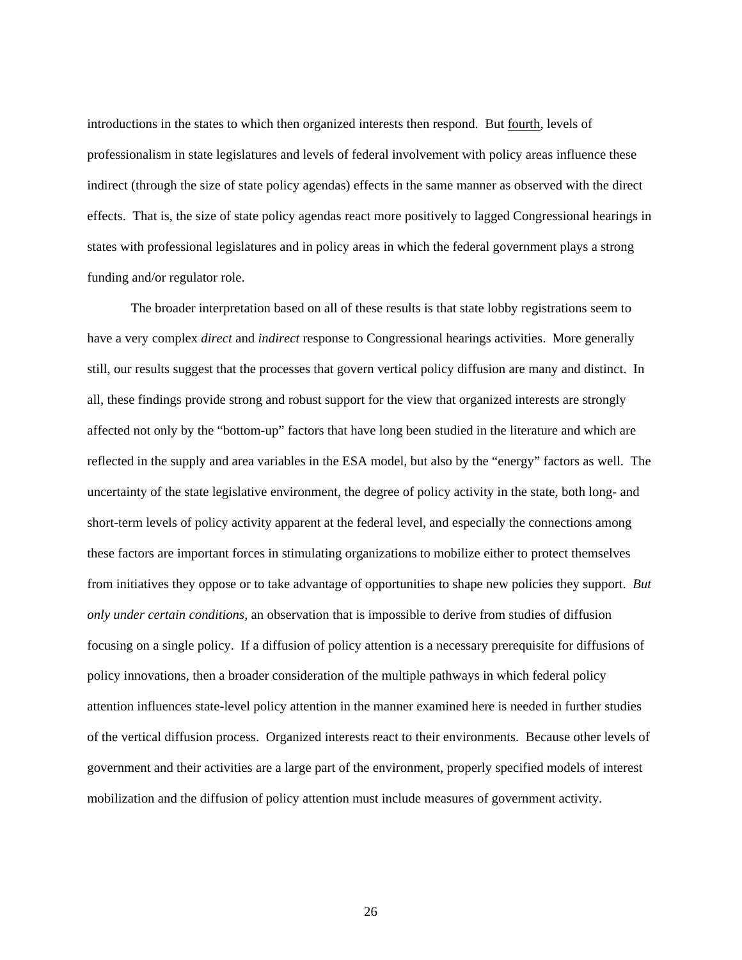introductions in the states to which then organized interests then respond. But fourth, levels of professionalism in state legislatures and levels of federal involvement with policy areas influence these indirect (through the size of state policy agendas) effects in the same manner as observed with the direct effects. That is, the size of state policy agendas react more positively to lagged Congressional hearings in states with professional legislatures and in policy areas in which the federal government plays a strong funding and/or regulator role.

The broader interpretation based on all of these results is that state lobby registrations seem to have a very complex *direct* and *indirect* response to Congressional hearings activities. More generally still, our results suggest that the processes that govern vertical policy diffusion are many and distinct. In all, these findings provide strong and robust support for the view that organized interests are strongly affected not only by the "bottom-up" factors that have long been studied in the literature and which are reflected in the supply and area variables in the ESA model, but also by the "energy" factors as well. The uncertainty of the state legislative environment, the degree of policy activity in the state, both long- and short-term levels of policy activity apparent at the federal level, and especially the connections among these factors are important forces in stimulating organizations to mobilize either to protect themselves from initiatives they oppose or to take advantage of opportunities to shape new policies they support. *But only under certain conditions*, an observation that is impossible to derive from studies of diffusion focusing on a single policy. If a diffusion of policy attention is a necessary prerequisite for diffusions of policy innovations, then a broader consideration of the multiple pathways in which federal policy attention influences state-level policy attention in the manner examined here is needed in further studies of the vertical diffusion process. Organized interests react to their environments. Because other levels of government and their activities are a large part of the environment, properly specified models of interest mobilization and the diffusion of policy attention must include measures of government activity.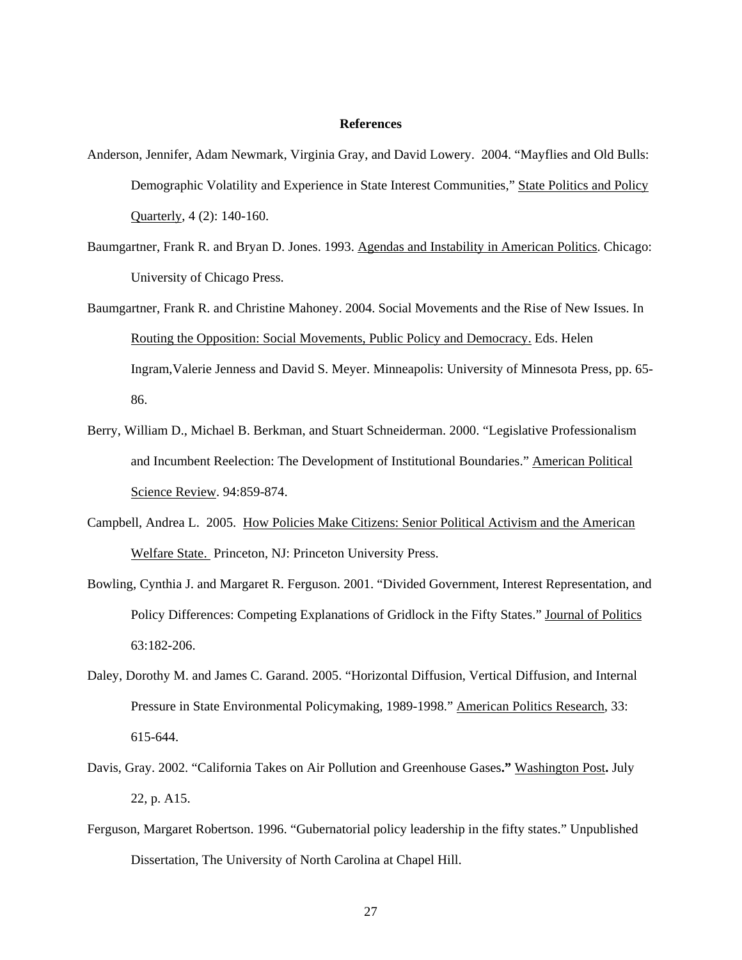#### **References**

- Anderson, Jennifer, Adam Newmark, Virginia Gray, and David Lowery. 2004. "Mayflies and Old Bulls: Demographic Volatility and Experience in State Interest Communities," State Politics and Policy Quarterly, 4 (2): 140-160.
- Baumgartner, Frank R. and Bryan D. Jones. 1993. Agendas and Instability in American Politics. Chicago: University of Chicago Press.
- Baumgartner, Frank R. and Christine Mahoney. 2004. Social Movements and the Rise of New Issues. In Routing the Opposition: Social Movements, Public Policy and Democracy. Eds. Helen Ingram,Valerie Jenness and David S. Meyer. Minneapolis: University of Minnesota Press, pp. 65- 86.
- Berry, William D., Michael B. Berkman, and Stuart Schneiderman. 2000. "Legislative Professionalism and Incumbent Reelection: The Development of Institutional Boundaries." American Political Science Review. 94:859-874.
- Campbell, Andrea L. 2005. How Policies Make Citizens: Senior Political Activism and the American Welfare State. Princeton, NJ: Princeton University Press.
- Bowling, Cynthia J. and Margaret R. Ferguson. 2001. "Divided Government, Interest Representation, and Policy Differences: Competing Explanations of Gridlock in the Fifty States." Journal of Politics 63:182-206.
- Daley, Dorothy M. and James C. Garand. 2005. "Horizontal Diffusion, Vertical Diffusion, and Internal Pressure in State Environmental Policymaking, 1989-1998." American Politics Research, 33: 615-644.
- Davis, Gray. 2002. "California Takes on Air Pollution and Greenhouse Gases**."** Washington Post**.** July 22, p. A15.
- Ferguson, Margaret Robertson. 1996. "Gubernatorial policy leadership in the fifty states." Unpublished Dissertation, The University of North Carolina at Chapel Hill.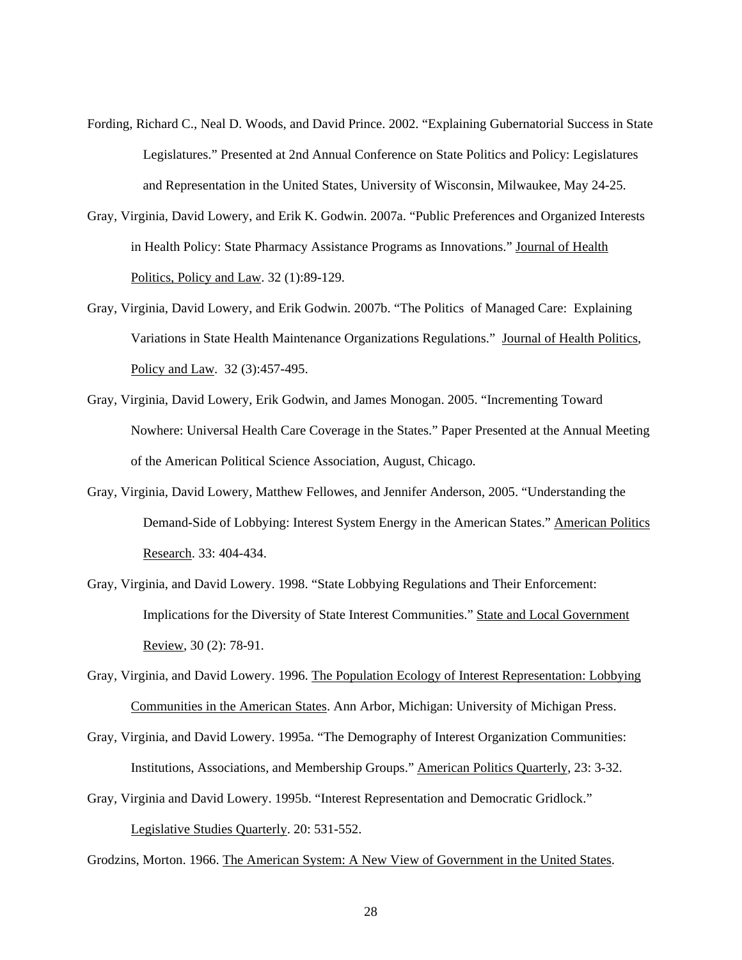- Fording, Richard C., Neal D. Woods, and David Prince. 2002. "Explaining Gubernatorial Success in State Legislatures." Presented at 2nd Annual Conference on State Politics and Policy: Legislatures and Representation in the United States, University of Wisconsin, Milwaukee, May 24-25.
- Gray, Virginia, David Lowery, and Erik K. Godwin. 2007a. "Public Preferences and Organized Interests in Health Policy: State Pharmacy Assistance Programs as Innovations." Journal of Health Politics, Policy and Law. 32 (1):89-129.
- Gray, Virginia, David Lowery, and Erik Godwin. 2007b. "The Politics of Managed Care: Explaining Variations in State Health Maintenance Organizations Regulations." Journal of Health Politics, Policy and Law. 32 (3):457-495.
- Gray, Virginia, David Lowery, Erik Godwin, and James Monogan. 2005. "Incrementing Toward Nowhere: Universal Health Care Coverage in the States." Paper Presented at the Annual Meeting of the American Political Science Association, August, Chicago.
- Gray, Virginia, David Lowery, Matthew Fellowes, and Jennifer Anderson, 2005. "Understanding the Demand-Side of Lobbying: Interest System Energy in the American States." American Politics Research. 33: 404-434.
- Gray, Virginia, and David Lowery. 1998. "State Lobbying Regulations and Their Enforcement: Implications for the Diversity of State Interest Communities." State and Local Government Review, 30 (2): 78-91.
- Gray, Virginia, and David Lowery. 1996. The Population Ecology of Interest Representation: Lobbying Communities in the American States. Ann Arbor, Michigan: University of Michigan Press.
- Gray, Virginia, and David Lowery. 1995a. "The Demography of Interest Organization Communities: Institutions, Associations, and Membership Groups." American Politics Quarterly, 23: 3-32.
- Gray, Virginia and David Lowery. 1995b. "Interest Representation and Democratic Gridlock." Legislative Studies Quarterly. 20: 531-552.

Grodzins, Morton. 1966. The American System: A New View of Government in the United States.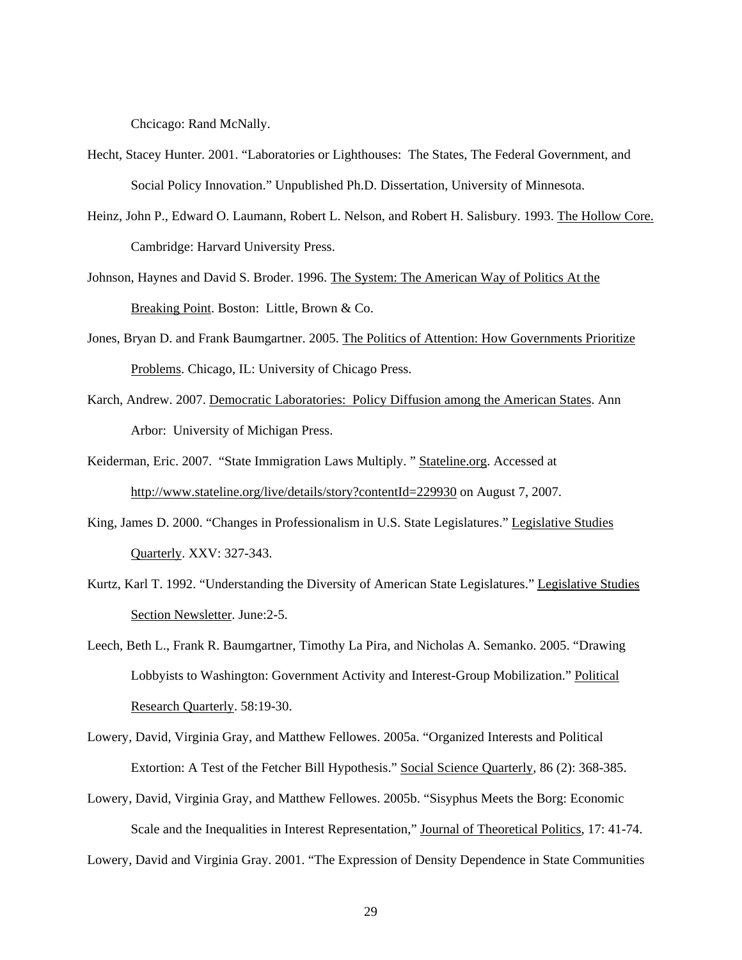Chcicago: Rand McNally.

- Hecht, Stacey Hunter. 2001. "Laboratories or Lighthouses: The States, The Federal Government, and Social Policy Innovation." Unpublished Ph.D. Dissertation, University of Minnesota.
- Heinz, John P., Edward O. Laumann, Robert L. Nelson, and Robert H. Salisbury. 1993. The Hollow Core. Cambridge: Harvard University Press.
- Johnson, Haynes and David S. Broder. 1996. The System: The American Way of Politics At the Breaking Point. Boston: Little, Brown & Co.
- Jones, Bryan D. and Frank Baumgartner. 2005. The Politics of Attention: How Governments Prioritize Problems. Chicago, IL: University of Chicago Press.
- Karch, Andrew. 2007. Democratic Laboratories: Policy Diffusion among the American States. Ann Arbor: University of Michigan Press.
- Keiderman, Eric. 2007. "State Immigration Laws Multiply. " Stateline.org. Accessed at http://www.stateline.org/live/details/story?contentId=229930 on August 7, 2007.
- King, James D. 2000. "Changes in Professionalism in U.S. State Legislatures." Legislative Studies Quarterly. XXV: 327-343.
- Kurtz, Karl T. 1992. "Understanding the Diversity of American State Legislatures." Legislative Studies Section Newsletter. June:2-5.
- Leech, Beth L., Frank R. Baumgartner, Timothy La Pira, and Nicholas A. Semanko. 2005. "Drawing Lobbyists to Washington: Government Activity and Interest-Group Mobilization." Political Research Quarterly. 58:19-30.
- Lowery, David, Virginia Gray, and Matthew Fellowes. 2005a. "Organized Interests and Political Extortion: A Test of the Fetcher Bill Hypothesis." Social Science Quarterly, 86 (2): 368-385.
- Lowery, David, Virginia Gray, and Matthew Fellowes. 2005b. "Sisyphus Meets the Borg: Economic Scale and the Inequalities in Interest Representation," Journal of Theoretical Politics, 17: 41-74. Lowery, David and Virginia Gray. 2001. "The Expression of Density Dependence in State Communities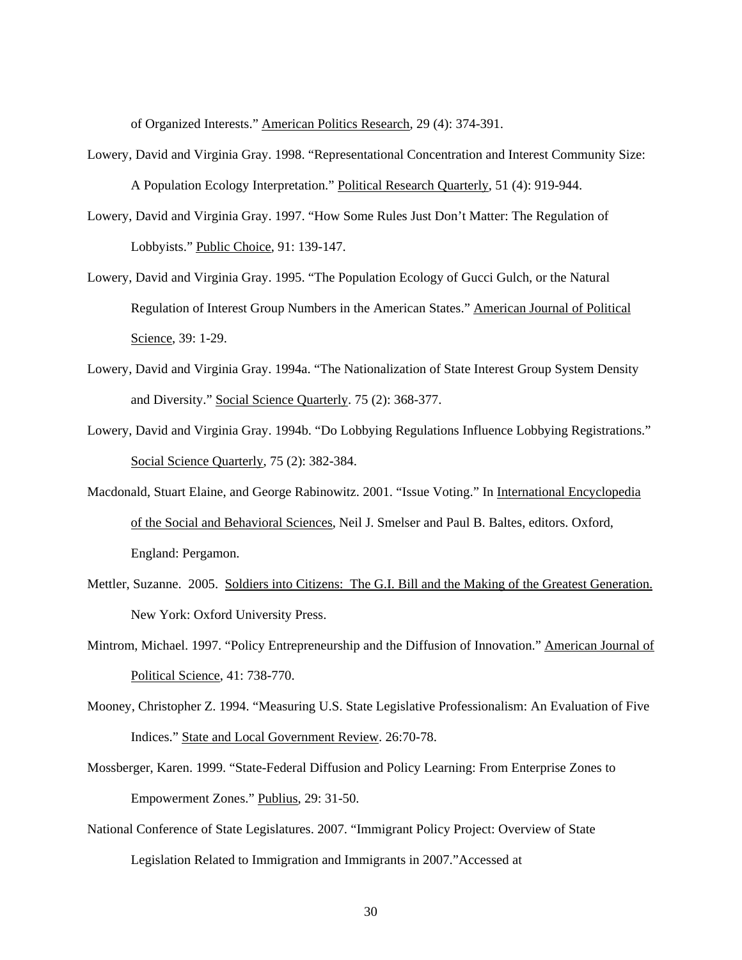of Organized Interests." American Politics Research, 29 (4): 374-391.

- Lowery, David and Virginia Gray. 1998. "Representational Concentration and Interest Community Size: A Population Ecology Interpretation." Political Research Quarterly, 51 (4): 919-944.
- Lowery, David and Virginia Gray. 1997. "How Some Rules Just Don't Matter: The Regulation of Lobbyists." Public Choice, 91: 139-147.
- Lowery, David and Virginia Gray. 1995. "The Population Ecology of Gucci Gulch, or the Natural Regulation of Interest Group Numbers in the American States." American Journal of Political Science, 39: 1-29.
- Lowery, David and Virginia Gray. 1994a. "The Nationalization of State Interest Group System Density and Diversity." Social Science Quarterly. 75 (2): 368-377.
- Lowery, David and Virginia Gray. 1994b. "Do Lobbying Regulations Influence Lobbying Registrations." Social Science Quarterly, 75 (2): 382-384.
- Macdonald, Stuart Elaine, and George Rabinowitz. 2001. "Issue Voting." In International Encyclopedia of the Social and Behavioral Sciences, Neil J. Smelser and Paul B. Baltes, editors. Oxford, England: Pergamon.
- Mettler, Suzanne. 2005. Soldiers into Citizens: The G.I. Bill and the Making of the Greatest Generation. New York: Oxford University Press.
- Mintrom, Michael. 1997. "Policy Entrepreneurship and the Diffusion of Innovation." American Journal of Political Science, 41: 738-770.
- Mooney, Christopher Z. 1994. "Measuring U.S. State Legislative Professionalism: An Evaluation of Five Indices." State and Local Government Review. 26:70-78.
- Mossberger, Karen. 1999. "State-Federal Diffusion and Policy Learning: From Enterprise Zones to Empowerment Zones." Publius, 29: 31-50.
- National Conference of State Legislatures. 2007. "Immigrant Policy Project: Overview of State Legislation Related to Immigration and Immigrants in 2007."Accessed at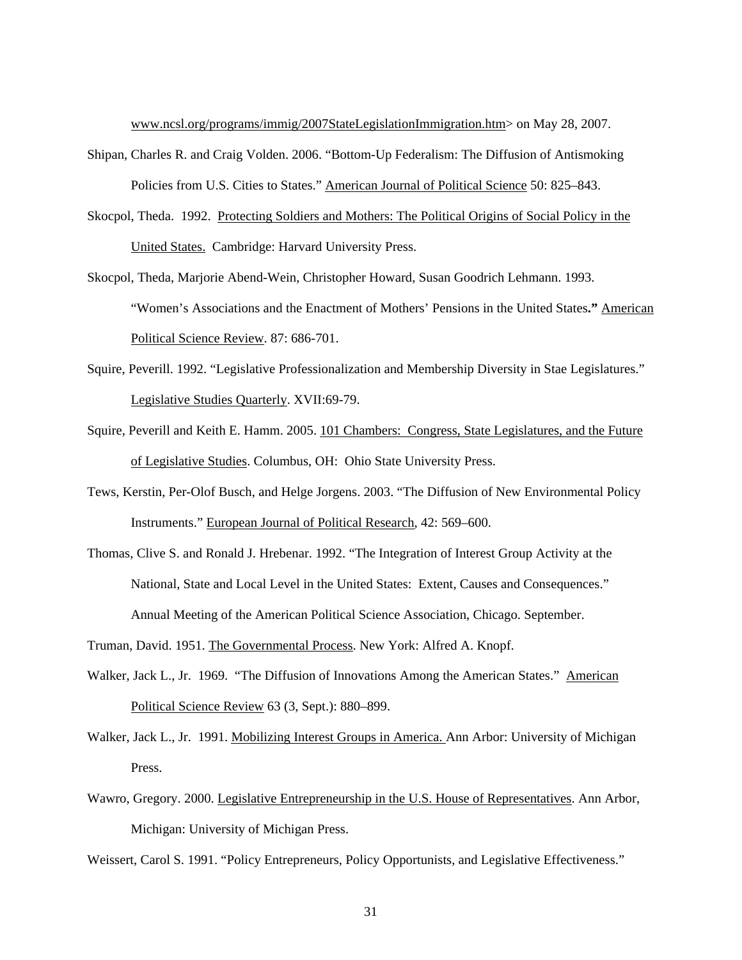www.ncsl.org/programs/immig/2007StateLegislationImmigration.htm> on May 28, 2007.

- Shipan, Charles R. and Craig Volden. 2006. "Bottom-Up Federalism: The Diffusion of Antismoking Policies from U.S. Cities to States." American Journal of Political Science 50: 825–843.
- Skocpol, Theda. 1992. Protecting Soldiers and Mothers: The Political Origins of Social Policy in the United States. Cambridge: Harvard University Press.
- Skocpol, Theda, Marjorie Abend-Wein, Christopher Howard, Susan Goodrich Lehmann. 1993. "Women's Associations and the Enactment of Mothers' Pensions in the United States**."** American Political Science Review. 87: 686-701.
- Squire, Peverill. 1992. "Legislative Professionalization and Membership Diversity in Stae Legislatures." Legislative Studies Quarterly. XVII:69-79.
- Squire, Peverill and Keith E. Hamm. 2005. 101 Chambers: Congress, State Legislatures, and the Future of Legislative Studies. Columbus, OH: Ohio State University Press.
- Tews, Kerstin, Per-Olof Busch, and Helge Jorgens. 2003. "The Diffusion of New Environmental Policy Instruments." European Journal of Political Research, 42: 569–600.
- Thomas, Clive S. and Ronald J. Hrebenar. 1992. "The Integration of Interest Group Activity at the National, State and Local Level in the United States: Extent, Causes and Consequences." Annual Meeting of the American Political Science Association, Chicago. September.
- Truman, David. 1951. The Governmental Process. New York: Alfred A. Knopf.
- Walker, Jack L., Jr. 1969. "The Diffusion of Innovations Among the American States." American Political Science Review 63 (3, Sept.): 880–899.
- Walker, Jack L., Jr. 1991. Mobilizing Interest Groups in America. Ann Arbor: University of Michigan Press.
- Wawro, Gregory. 2000. Legislative Entrepreneurship in the U.S. House of Representatives. Ann Arbor, Michigan: University of Michigan Press.
- Weissert, Carol S. 1991. "Policy Entrepreneurs, Policy Opportunists, and Legislative Effectiveness."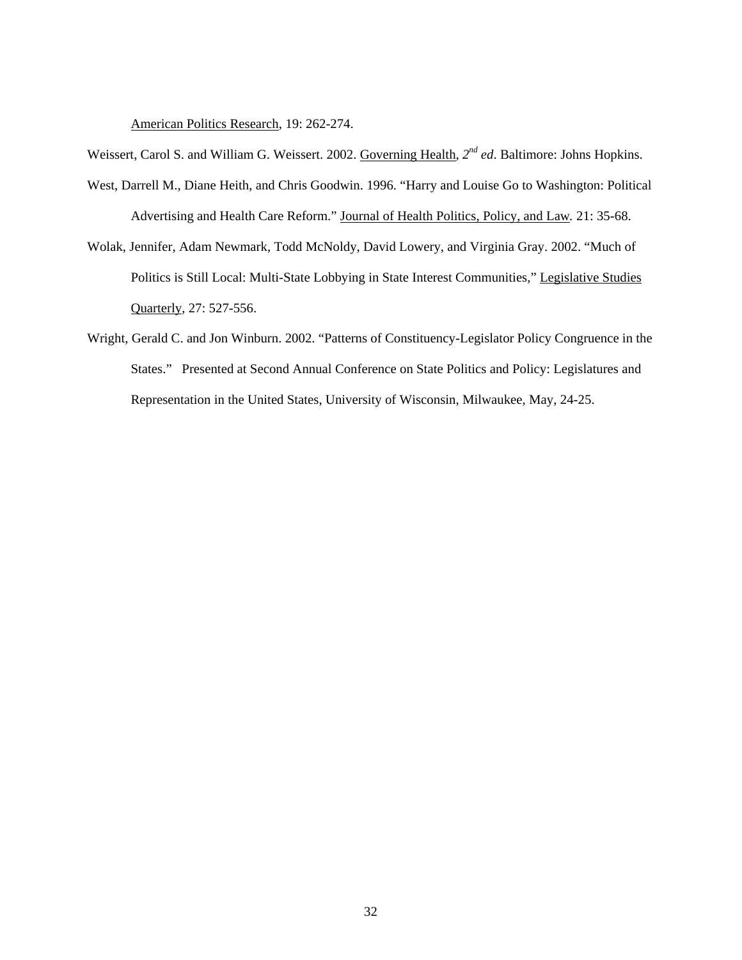American Politics Research, 19: 262-274.

Weissert, Carol S. and William G. Weissert. 2002. Governing Health, 2<sup>nd</sup> ed. Baltimore: Johns Hopkins.

- West, Darrell M., Diane Heith, and Chris Goodwin. 1996. "Harry and Louise Go to Washington: Political Advertising and Health Care Reform." Journal of Health Politics, Policy, and Law*.* 21: 35-68.
- Wolak, Jennifer, Adam Newmark, Todd McNoldy, David Lowery, and Virginia Gray. 2002. "Much of Politics is Still Local: Multi-State Lobbying in State Interest Communities," Legislative Studies Quarterly, 27: 527-556.
- Wright, Gerald C. and Jon Winburn. 2002. "Patterns of Constituency-Legislator Policy Congruence in the States." Presented at Second Annual Conference on State Politics and Policy: Legislatures and Representation in the United States, University of Wisconsin, Milwaukee, May, 24-25.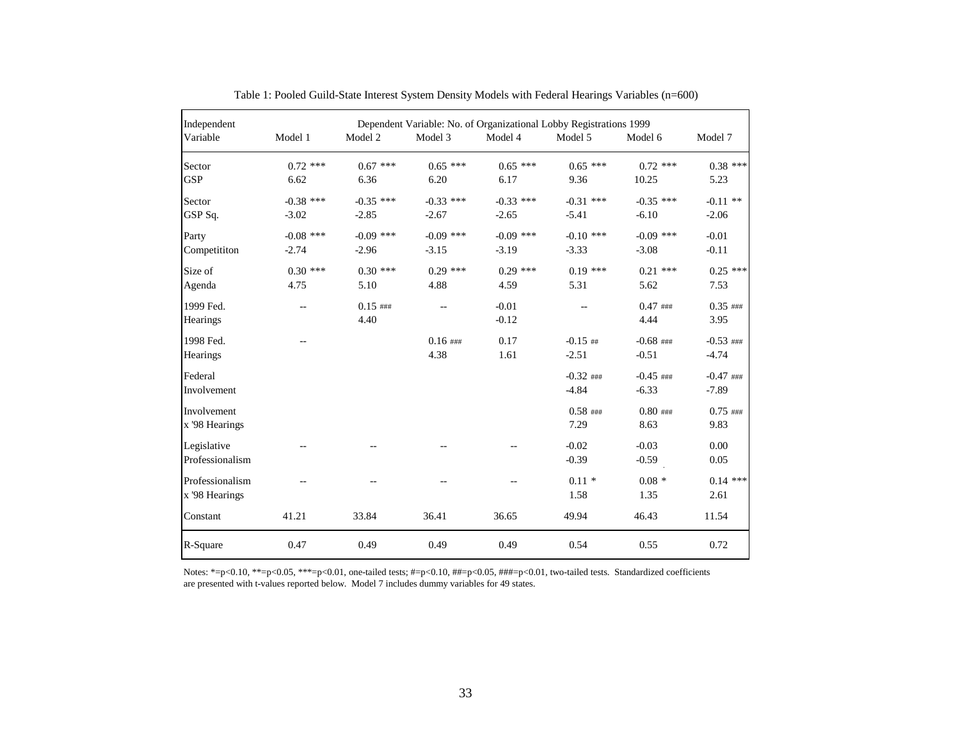| Independent     | Dependent Variable: No. of Organizational Lobby Registrations 1999 |             |             |             |             |             |             |  |
|-----------------|--------------------------------------------------------------------|-------------|-------------|-------------|-------------|-------------|-------------|--|
| Variable        | Model 1                                                            | Model 2     | Model 3     | Model 4     | Model 5     | Model 6     | Model 7     |  |
| Sector          | $0.72$ ***                                                         | $0.67$ ***  | $0.65$ ***  | $0.65$ ***  | $0.65$ ***  | $0.72$ ***  | $0.38$ ***  |  |
| <b>GSP</b>      | 6.62                                                               | 6.36        | 6.20        | 6.17        | 9.36        | 10.25       | 5.23        |  |
| Sector          | $-0.38$ ***                                                        | $-0.35$ *** | $-0.33$ *** | $-0.33$ *** | $-0.31$ *** | $-0.35$ *** | $-0.11$ **  |  |
| GSP Sq.         | $-3.02$                                                            | $-2.85$     | $-2.67$     | $-2.65$     | $-5.41$     | $-6.10$     | $-2.06$     |  |
| Party           | $-0.08$ ***                                                        | $-0.09$ *** | $-0.09$ *** | $-0.09$ *** | $-0.10$ *** | $-0.09$ *** | $-0.01$     |  |
| Competititon    | $-2.74$                                                            | $-2.96$     | $-3.15$     | $-3.19$     | $-3.33$     | $-3.08$     | $-0.11$     |  |
| Size of         | $0.30$ ***                                                         | $0.30***$   | $0.29$ ***  | $0.29$ ***  | $0.19***$   | $0.21$ ***  | $0.25$ ***  |  |
| Agenda          | 4.75                                                               | 5.10        | 4.88        | 4.59        | 5.31        | 5.62        | 7.53        |  |
| 1999 Fed.       |                                                                    | $0.15$ ###  |             | $-0.01$     |             | $0.47$ ###  | $0.35$ ###  |  |
| Hearings        |                                                                    | 4.40        |             | $-0.12$     |             | 4.44        | 3.95        |  |
| 1998 Fed.       |                                                                    |             | $0.16$ ###  | 0.17        | $-0.15$ ##  | $-0.68$ ### | $-0.53$ ### |  |
| Hearings        |                                                                    |             | 4.38        | 1.61        | $-2.51$     | $-0.51$     | $-4.74$     |  |
| Federal         |                                                                    |             |             |             | $-0.32$ ### | $-0.45$ ### | $-0.47$ ### |  |
| Involvement     |                                                                    |             |             |             | $-4.84$     | $-6.33$     | $-7.89$     |  |
| Involvement     |                                                                    |             |             |             | $0.58$ ###  | $0.80$ ###  | $0.75$ ###  |  |
| x '98 Hearings  |                                                                    |             |             |             | 7.29        | 8.63        | 9.83        |  |
| Legislative     |                                                                    |             |             |             | $-0.02$     | $-0.03$     | 0.00        |  |
| Professionalism |                                                                    |             |             |             | $-0.39$     | $-0.59$     | 0.05        |  |
| Professionalism |                                                                    |             |             |             | $0.11 *$    | $0.08 *$    | $0.14$ ***  |  |
| x '98 Hearings  |                                                                    |             |             |             | 1.58        | 1.35        | 2.61        |  |
| Constant        | 41.21                                                              | 33.84       | 36.41       | 36.65       | 49.94       | 46.43       | 11.54       |  |
| R-Square        | 0.47                                                               | 0.49        | 0.49        | 0.49        | 0.54        | 0.55        | 0.72        |  |

Table 1: Pooled Guild-State Interest System Density Models with Federal Hearings Variables (n=600)

Notes: \*=p<0.10, \*\*=p<0.05, \*\*\*=p<0.01, one-tailed tests; #=p<0.10, ##=p<0.05, ###=p<0.01, two-tailed tests. Standardized coefficients are presented with t-values reported below. Model 7 includes dummy variables for 49 states.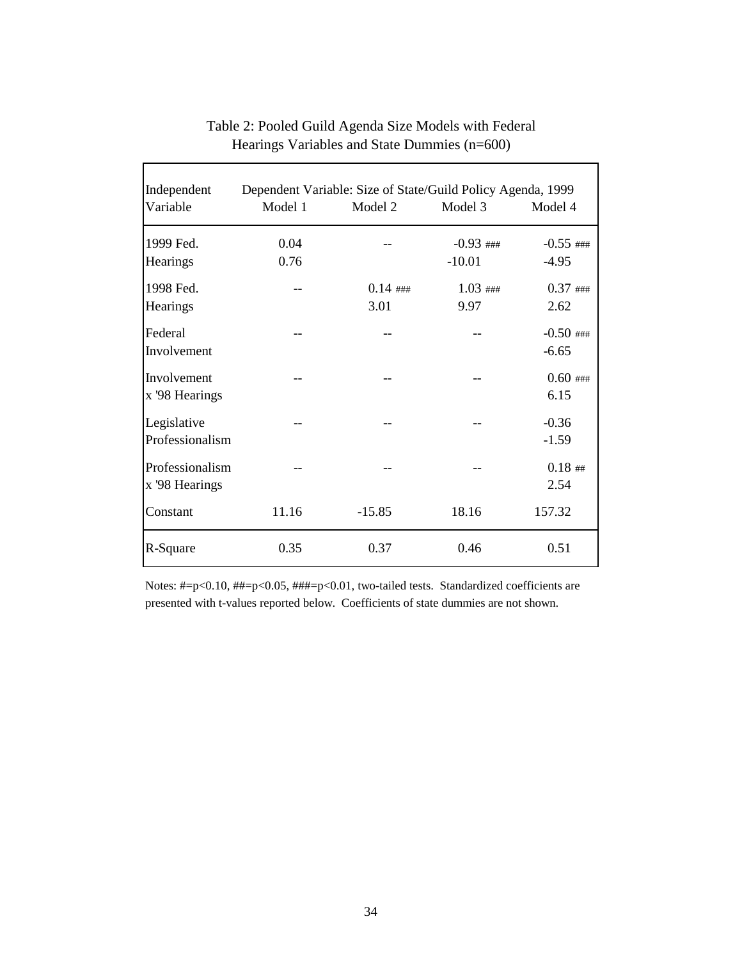| Independent<br>Variable           | Model 1 | Dependent Variable: Size of State/Guild Policy Agenda, 1999<br>Model 2 | Model 3     | Model 4                |
|-----------------------------------|---------|------------------------------------------------------------------------|-------------|------------------------|
| 1999 Fed.                         | 0.04    |                                                                        | $-0.93$ ### | $-0.55$ ###            |
| Hearings                          | 0.76    |                                                                        | $-10.01$    | $-4.95$                |
| 1998 Fed.                         |         | $0.14$ ###                                                             | $1.03$ ###  | $0.37$ ###             |
| Hearings                          |         | 3.01                                                                   | 9.97        | 2.62                   |
| Federal<br>Involvement            |         |                                                                        |             | $-0.50$ ###<br>$-6.65$ |
| Involvement<br>x '98 Hearings     |         |                                                                        |             | $0.60$ ###<br>6.15     |
| Legislative<br>Professionalism    |         |                                                                        |             | $-0.36$<br>$-1.59$     |
| Professionalism<br>x '98 Hearings |         |                                                                        |             | $0.18$ ##<br>2.54      |
| Constant                          | 11.16   | $-15.85$                                                               | 18.16       | 157.32                 |
| R-Square                          | 0.35    | 0.37                                                                   | 0.46        | 0.51                   |

Table 2: Pooled Guild Agenda Size Models with Federal Hearings Variables and State Dummies (n=600)

Notes: #=p<0.10, ##=p<0.05, ###=p<0.01, two-tailed tests. Standardized coefficients are presented with t-values reported below. Coefficients of state dummies are not shown.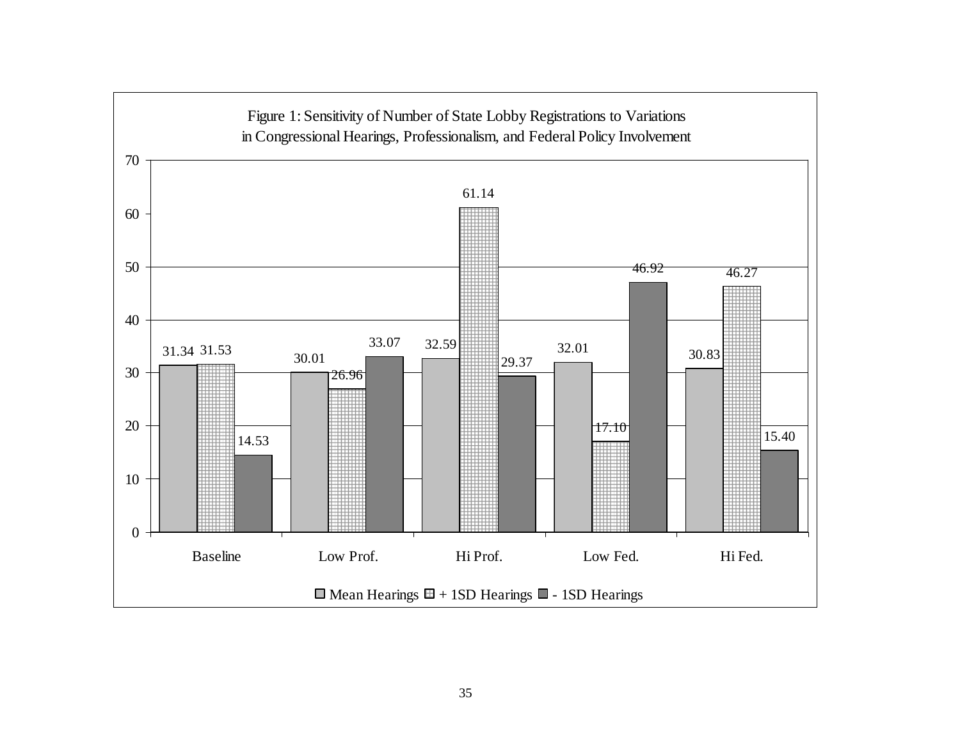